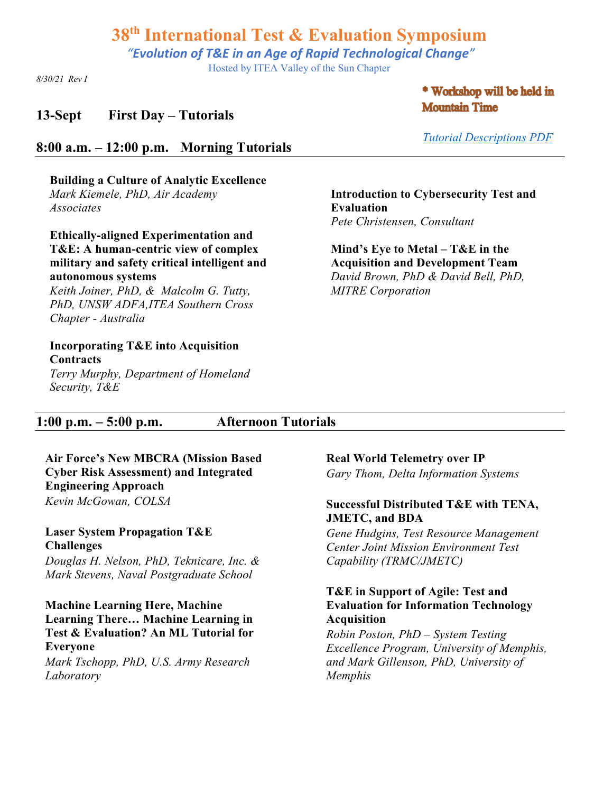*"Evolution of T&E in an Age of Rapid Technological Change"*

Hosted by ITEA Valley of the Sun Chapter

*8/30/21 Rev I*

#### **13-Sept First Day – Tutorials**

#### \* Workshop will be held in **Mountain Time**

#### **8:00 a.m. – 12:00 p.m. Morning Tutorials**

**Building a Culture of Analytic Excellence** *Mark Kiemele, PhD, Air Academy Associates* 

**Ethically-aligned Experimentation and T&E: A human-centric view of complex military and safety critical intelligent and autonomous systems**

*Keith Joiner, PhD, & Malcolm G. Tutty, PhD, UNSW ADFA,ITEA Southern Cross Chapter - Australia*

#### **Incorporating T&E into Acquisition Contracts**

*Terry Murphy, Department of Homeland Security, T&E*

*Tutorial Descriptions PDF*

**Introduction to Cybersecurity Test and Evaluation**  *Pete Christensen, Consultant*

**Mind's Eye to Metal – T&E in the Acquisition and Development Team** *David Brown, PhD & David Bell, PhD, MITRE Corporation*

### **1:00 p.m. – 5:00 p.m. Afternoon Tutorials**

**Air Force's New MBCRA (Mission Based Cyber Risk Assessment) and Integrated Engineering Approach** *Kevin McGowan, COLSA*

**Laser System Propagation T&E Challenges** *Douglas H. Nelson, PhD, Teknicare, Inc. & Mark Stevens, Naval Postgraduate School*

**Machine Learning Here, Machine Learning There… Machine Learning in Test & Evaluation? An ML Tutorial for Everyone** *Mark Tschopp, PhD, U.S. Army Research Laboratory*

**Real World Telemetry over IP**

*Gary Thom, Delta Information Systems*

#### **Successful Distributed T&E with TENA, JMETC, and BDA**

*Gene Hudgins, Test Resource Management Center Joint Mission Environment Test Capability (TRMC/JMETC)*

#### **T&E in Support of Agile: Test and Evaluation for Information Technology Acquisition**

*Robin Poston, PhD – System Testing Excellence Program, University of Memphis, and Mark Gillenson, PhD, University of Memphis*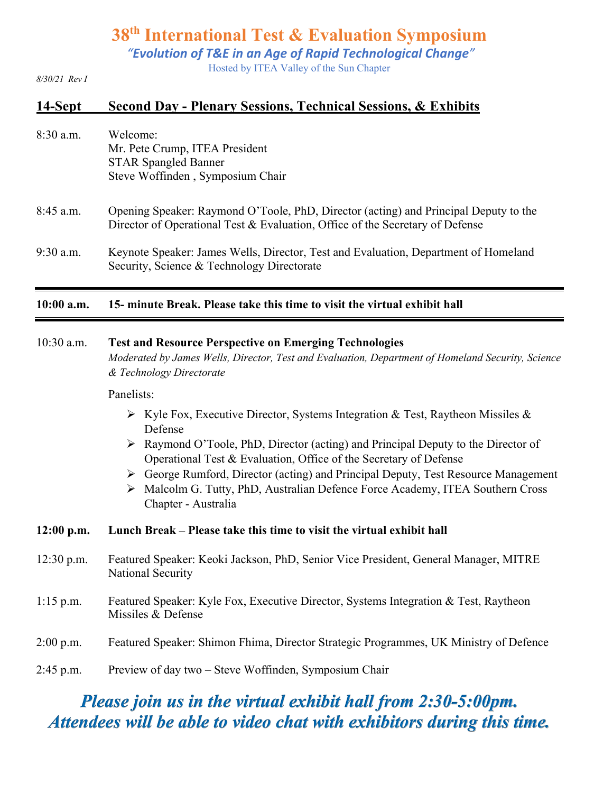*"Evolution of T&E in an Age of Rapid Technological Change"*

Hosted by ITEA Valley of the Sun Chapter

#### *8/30/21 Rev I*

#### **14-Sept Second Day - Plenary Sessions, Technical Sessions, & Exhibits**

| $8:30$ a.m. | Welcome:                         |
|-------------|----------------------------------|
|             | Mr. Pete Crump, ITEA President   |
|             | <b>STAR Spangled Banner</b>      |
|             | Steve Woffinden, Symposium Chair |
|             |                                  |

- 8:45 a.m. Opening Speaker: Raymond O'Toole, PhD, Director (acting) and Principal Deputy to the Director of Operational Test & Evaluation, Office of the Secretary of Defense
- 9:30 a.m. Keynote Speaker: James Wells, Director, Test and Evaluation, Department of Homeland Security, Science & Technology Directorate

#### **10:00 a.m. 15- minute Break. Please take this time to visit the virtual exhibit hall**

#### 10:30 a.m. **Test and Resource Perspective on Emerging Technologies**

*Moderated by James Wells, Director, Test and Evaluation, Department of Homeland Security, Science & Technology Directorate*

#### Panelists:

- $\triangleright$  Kyle Fox, Executive Director, Systems Integration & Test, Raytheon Missiles & Defense
- $\triangleright$  Raymond O'Toole, PhD, Director (acting) and Principal Deputy to the Director of Operational Test & Evaluation, Office of the Secretary of Defense
- Ø George Rumford, Director (acting) and Principal Deputy, Test Resource Management
- Ø Malcolm G. Tutty, PhD, Australian Defence Force Academy, ITEA Southern Cross Chapter - Australia

#### **12:00 p.m. Lunch Break – Please take this time to visit the virtual exhibit hall**

- 12:30 p.m. Featured Speaker: Keoki Jackson, PhD, Senior Vice President, General Manager, MITRE National Security
- 1:15 p.m. Featured Speaker: Kyle Fox, Executive Director, Systems Integration & Test, Raytheon Missiles & Defense
- 2:00 p.m. Featured Speaker: Shimon Fhima, Director Strategic Programmes, UK Ministry of Defence
- 2:45 p.m. Preview of day two Steve Woffinden, Symposium Chair

# *Please join us in the virtual exhibit hall from 2:30-5:00pm. Attendees will be able to video chat with exhibitors during this time.*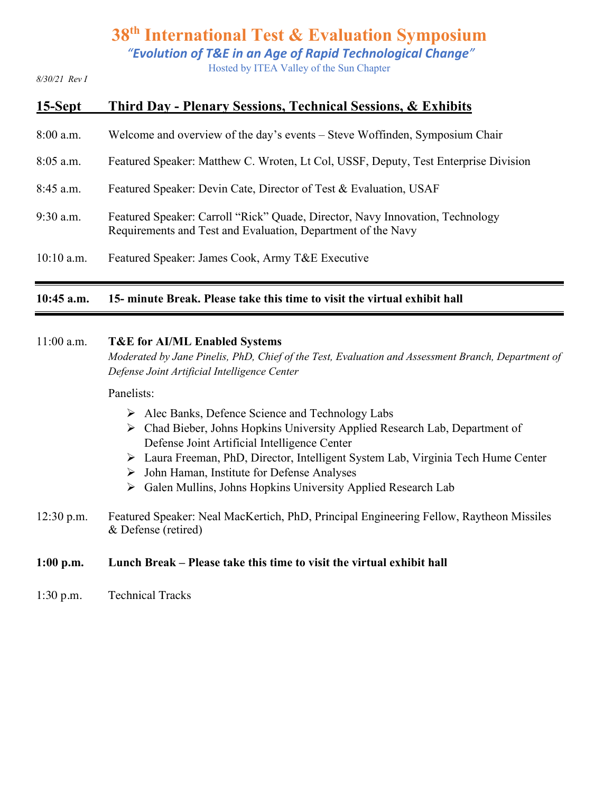*"Evolution of T&E in an Age of Rapid Technological Change"*

Hosted by ITEA Valley of the Sun Chapter

*8/30/21 Rev I*

| 15-Sept      | Third Day - Plenary Sessions, Technical Sessions, & Exhibits                                                                                  |
|--------------|-----------------------------------------------------------------------------------------------------------------------------------------------|
| $8:00$ a.m.  | Welcome and overview of the day's events – Steve Woffinden, Symposium Chair                                                                   |
| $8:05$ a.m.  | Featured Speaker: Matthew C. Wroten, Lt Col, USSF, Deputy, Test Enterprise Division                                                           |
| $8:45$ a.m.  | Featured Speaker: Devin Cate, Director of Test & Evaluation, USAF                                                                             |
| $9:30$ a.m.  | Featured Speaker: Carroll "Rick" Quade, Director, Navy Innovation, Technology<br>Requirements and Test and Evaluation, Department of the Navy |
| $10:10$ a.m. | Featured Speaker: James Cook, Army T&E Executive                                                                                              |

#### **10:45 a.m. 15- minute Break. Please take this time to visit the virtual exhibit hall**

#### 11:00 a.m. **T&E for AI/ML Enabled Systems**

*Moderated by Jane Pinelis, PhD, Chief of the Test, Evaluation and Assessment Branch, Department of Defense Joint Artificial Intelligence Center*

#### Panelists:

- Ø Alec Banks, Defence Science and Technology Labs
- Ø Chad Bieber, Johns Hopkins University Applied Research Lab, Department of Defense Joint Artificial Intelligence Center
- Ø Laura Freeman, PhD, Director, Intelligent System Lab, Virginia Tech Hume Center
- $\triangleright$  John Haman, Institute for Defense Analyses
- Ø Galen Mullins, Johns Hopkins University Applied Research Lab
- 12:30 p.m. Featured Speaker: Neal MacKertich, PhD, Principal Engineering Fellow, Raytheon Missiles & Defense (retired)

#### **1:00 p.m. Lunch Break – Please take this time to visit the virtual exhibit hall**

1:30 p.m. Technical Tracks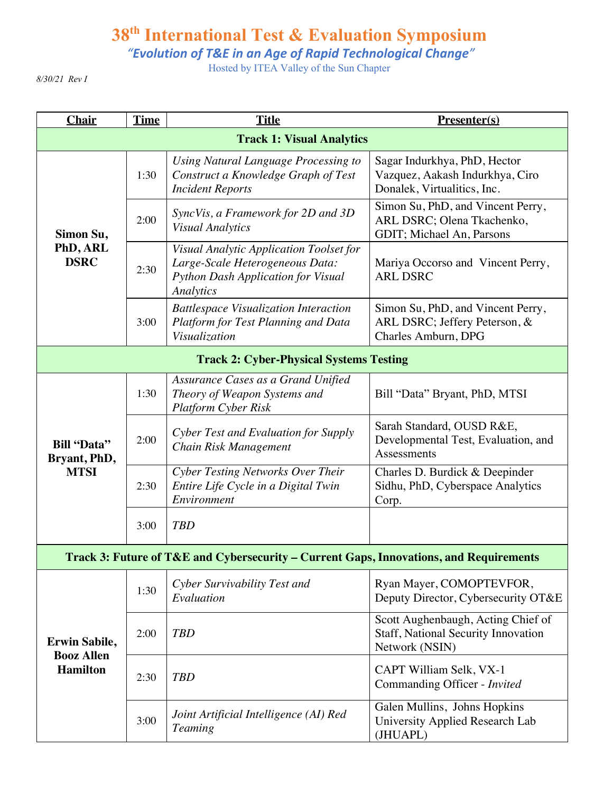*"Evolution of T&E in an Age of Rapid Technological Change"*

Hosted by ITEA Valley of the Sun Chapter

*8/30/21 Rev I*

| <b>Chair</b>                                                 | <b>Time</b> | <b>Title</b>                                                                                                                  | <b>Presenter(s)</b>                                                                            |
|--------------------------------------------------------------|-------------|-------------------------------------------------------------------------------------------------------------------------------|------------------------------------------------------------------------------------------------|
|                                                              |             | <b>Track 1: Visual Analytics</b>                                                                                              |                                                                                                |
| Simon Su,<br>PhD, ARL<br><b>DSRC</b>                         | 1:30        | Using Natural Language Processing to<br>Construct a Knowledge Graph of Test<br><b>Incident Reports</b>                        | Sagar Indurkhya, PhD, Hector<br>Vazquez, Aakash Indurkhya, Ciro<br>Donalek, Virtualitics, Inc. |
|                                                              | 2:00        | SyncVis, a Framework for 2D and 3D<br><b>Visual Analytics</b>                                                                 | Simon Su, PhD, and Vincent Perry,<br>ARL DSRC; Olena Tkachenko,<br>GDIT; Michael An, Parsons   |
|                                                              | 2:30        | Visual Analytic Application Toolset for<br>Large-Scale Heterogeneous Data:<br>Python Dash Application for Visual<br>Analytics | Mariya Occorso and Vincent Perry,<br><b>ARL DSRC</b>                                           |
|                                                              | 3:00        | <b>Battlespace Visualization Interaction</b><br>Platform for Test Planning and Data<br>Visualization                          | Simon Su, PhD, and Vincent Perry,<br>ARL DSRC; Jeffery Peterson, &<br>Charles Amburn, DPG      |
|                                                              |             | <b>Track 2: Cyber-Physical Systems Testing</b>                                                                                |                                                                                                |
| <b>Bill "Data"</b><br>Bryant, PhD,<br><b>MTSI</b>            | 1:30        | Assurance Cases as a Grand Unified<br>Theory of Weapon Systems and<br><b>Platform Cyber Risk</b>                              | Bill "Data" Bryant, PhD, MTSI                                                                  |
|                                                              | 2:00        | Cyber Test and Evaluation for Supply<br>Chain Risk Management                                                                 | Sarah Standard, OUSD R&E,<br>Developmental Test, Evaluation, and<br>Assessments                |
|                                                              | 2:30        | Cyber Testing Networks Over Their<br>Entire Life Cycle in a Digital Twin<br>Environment                                       | Charles D. Burdick & Deepinder<br>Sidhu, PhD, Cyberspace Analytics<br>Corp.                    |
|                                                              | 3:00        | <b>TBD</b>                                                                                                                    |                                                                                                |
|                                                              |             | Track 3: Future of T&E and Cybersecurity - Current Gaps, Innovations, and Requirements                                        |                                                                                                |
| <b>Erwin Sabile,</b><br><b>Booz Allen</b><br><b>Hamilton</b> | 1:30        | Cyber Survivability Test and<br>Evaluation                                                                                    | Ryan Mayer, COMOPTEVFOR,<br>Deputy Director, Cybersecurity OT&E                                |
|                                                              | 2:00        | <b>TBD</b>                                                                                                                    | Scott Aughenbaugh, Acting Chief of<br>Staff, National Security Innovation<br>Network (NSIN)    |
|                                                              | 2:30        | <b>TBD</b>                                                                                                                    | CAPT William Selk, VX-1<br>Commanding Officer - Invited                                        |
|                                                              | 3:00        | Joint Artificial Intelligence (AI) Red<br><b>Teaming</b>                                                                      | Galen Mullins, Johns Hopkins<br>University Applied Research Lab<br>(JHUAPL)                    |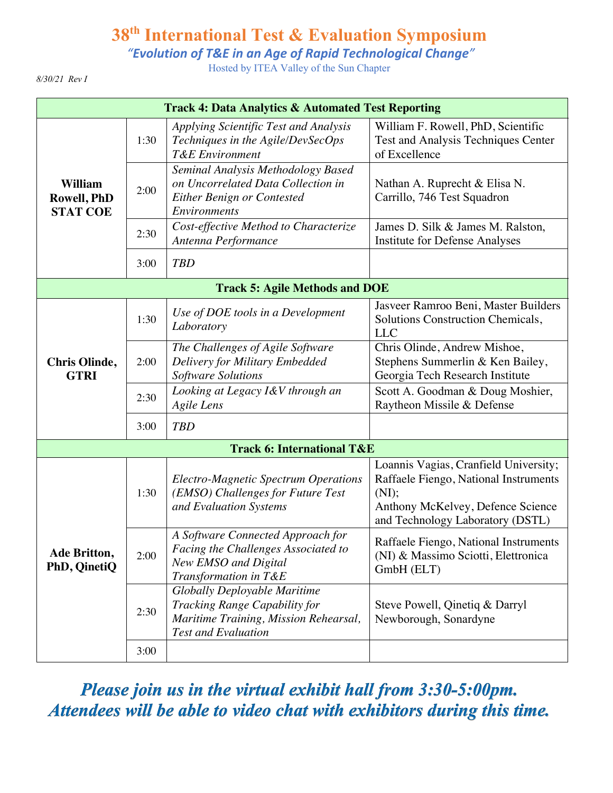*"Evolution of T&E in an Age of Rapid Technological Change"*

Hosted by ITEA Valley of the Sun Chapter

*8/30/21 Rev I*

| <b>Track 4: Data Analytics &amp; Automated Test Reporting</b> |      |                                                                                                                                      |                                                                                                                                                                  |
|---------------------------------------------------------------|------|--------------------------------------------------------------------------------------------------------------------------------------|------------------------------------------------------------------------------------------------------------------------------------------------------------------|
| <b>William</b><br>Rowell, PhD<br><b>STAT COE</b>              | 1:30 | Applying Scientific Test and Analysis<br>Techniques in the Agile/DevSecOps<br><b>T&amp;E</b> Environment                             | William F. Rowell, PhD, Scientific<br>Test and Analysis Techniques Center<br>of Excellence                                                                       |
|                                                               | 2:00 | Seminal Analysis Methodology Based<br>on Uncorrelated Data Collection in<br>Either Benign or Contested<br><b>Environments</b>        | Nathan A. Ruprecht & Elisa N.<br>Carrillo, 746 Test Squadron                                                                                                     |
|                                                               | 2:30 | Cost-effective Method to Characterize<br>Antenna Performance                                                                         | James D. Silk & James M. Ralston,<br>Institute for Defense Analyses                                                                                              |
|                                                               | 3:00 | <b>TBD</b>                                                                                                                           |                                                                                                                                                                  |
| <b>Track 5: Agile Methods and DOE</b>                         |      |                                                                                                                                      |                                                                                                                                                                  |
| <b>Chris Olinde,</b><br><b>GTRI</b>                           | 1:30 | Use of DOE tools in a Development<br>Laboratory                                                                                      | Jasveer Ramroo Beni, Master Builders<br>Solutions Construction Chemicals,<br><b>LLC</b>                                                                          |
|                                                               | 2:00 | The Challenges of Agile Software<br>Delivery for Military Embedded<br><b>Software Solutions</b>                                      | Chris Olinde, Andrew Mishoe,<br>Stephens Summerlin & Ken Bailey,<br>Georgia Tech Research Institute                                                              |
|                                                               | 2:30 | Looking at Legacy I&V through an<br><b>Agile Lens</b>                                                                                | Scott A. Goodman & Doug Moshier,<br>Raytheon Missile & Defense                                                                                                   |
|                                                               | 3:00 | <b>TBD</b>                                                                                                                           |                                                                                                                                                                  |
|                                                               |      | <b>Track 6: International T&amp;E</b>                                                                                                |                                                                                                                                                                  |
| Ade Britton,<br>PhD, QinetiQ                                  | 1:30 | <b>Electro-Magnetic Spectrum Operations</b><br>(EMSO) Challenges for Future Test<br>and Evaluation Systems                           | Loannis Vagias, Cranfield University;<br>Raffaele Fiengo, National Instruments<br>(NI);<br>Anthony McKelvey, Defence Science<br>and Technology Laboratory (DSTL) |
|                                                               | 2:00 | A Software Connected Approach for<br>Facing the Challenges Associated to<br>New EMSO and Digital<br>Transformation in T&E            | Raffaele Fiengo, National Instruments<br>(NI) & Massimo Sciotti, Elettronica<br>GmbH (ELT)                                                                       |
|                                                               | 2:30 | Globally Deployable Maritime<br>Tracking Range Capability for<br>Maritime Training, Mission Rehearsal,<br><b>Test and Evaluation</b> | Steve Powell, Qinetiq & Darryl<br>Newborough, Sonardyne                                                                                                          |
|                                                               | 3:00 |                                                                                                                                      |                                                                                                                                                                  |

*Please join us in the virtual exhibit hall from 3:30-5:00pm. Attendees will be able to video chat with exhibitors during this time.*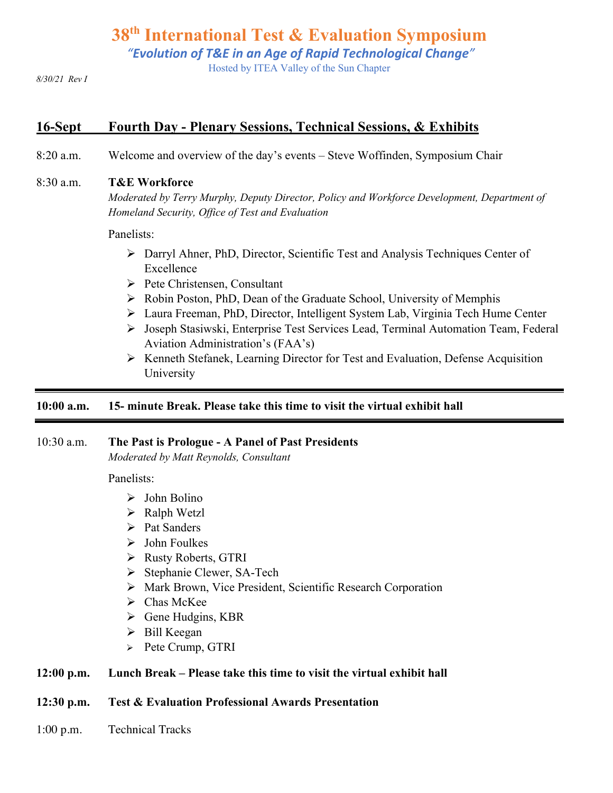*"Evolution of T&E in an Age of Rapid Technological Change"*

Hosted by ITEA Valley of the Sun Chapter

*8/30/21 Rev I*

### **16-Sept Fourth Day - Plenary Sessions, Technical Sessions, & Exhibits**

8:20 a.m. Welcome and overview of the day's events – Steve Woffinden, Symposium Chair

#### 8:30 a.m. **T&E Workforce**

*Moderated by Terry Murphy, Deputy Director, Policy and Workforce Development, Department of Homeland Security, Office of Test and Evaluation*

Panelists:

- $\triangleright$  Darryl Ahner, PhD, Director, Scientific Test and Analysis Techniques Center of Excellence
- $\triangleright$  Pete Christensen, Consultant
- Ø Robin Poston, PhD, Dean of the Graduate School, University of Memphis
- Ø Laura Freeman, PhD, Director, Intelligent System Lab, Virginia Tech Hume Center
- Ø Joseph Stasiwski, Enterprise Test Services Lead, Terminal Automation Team, Federal Aviation Administration's (FAA's)
- Ø Kenneth Stefanek, Learning Director for Test and Evaluation, Defense Acquisition University

#### **10:00 a.m. 15- minute Break. Please take this time to visit the virtual exhibit hall**

#### 10:30 a.m. **The Past is Prologue - A Panel of Past Presidents**

*Moderated by Matt Reynolds, Consultant*

Panelists:

- $\triangleright$  John Bolino
- $\triangleright$  Ralph Wetzl
- $\triangleright$  Pat Sanders
- $\triangleright$  John Foulkes
- Ø Rusty Roberts, GTRI
- Ø Stephanie Clewer, SA-Tech
- Ø Mark Brown, Vice President, Scientific Research Corporation
- $\triangleright$  Chas McKee
- $\triangleright$  Gene Hudgins, KBR
- $\triangleright$  Bill Keegan
- $\triangleright$  Pete Crump, GTRI

#### **12:00 p.m. Lunch Break – Please take this time to visit the virtual exhibit hall**

#### **12:30 p.m. Test & Evaluation Professional Awards Presentation**

1:00 p.m. Technical Tracks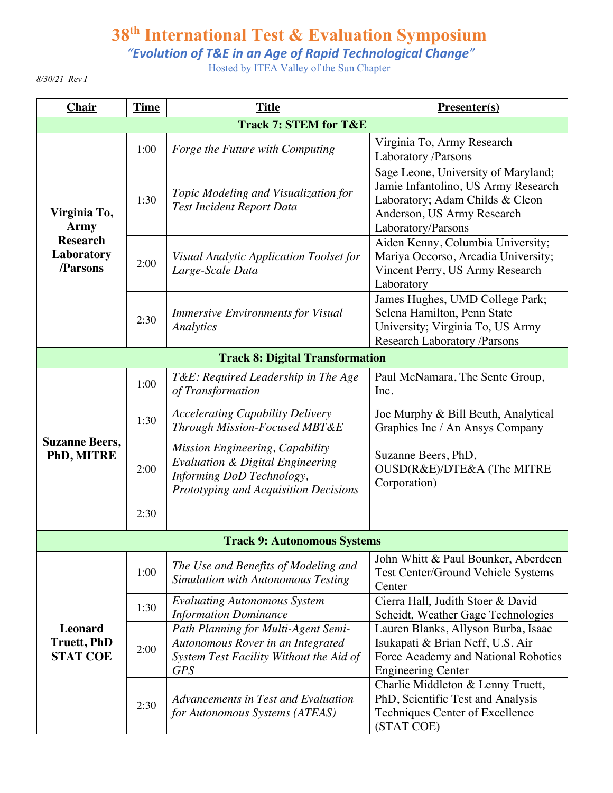*"Evolution of T&E in an Age of Rapid Technological Change"*

Hosted by ITEA Valley of the Sun Chapter

*8/30/21 Rev I*

| <b>Chair</b>                                                             | <b>Time</b> | <b>Title</b>                                                                                                                                         | <b>Presenter(s)</b>                                                                                                                                               |
|--------------------------------------------------------------------------|-------------|------------------------------------------------------------------------------------------------------------------------------------------------------|-------------------------------------------------------------------------------------------------------------------------------------------------------------------|
|                                                                          |             | <b>Track 7: STEM for T&amp;E</b>                                                                                                                     |                                                                                                                                                                   |
| Virginia To,<br><b>Army</b><br><b>Research</b><br>Laboratory<br>/Parsons | 1:00        | Forge the Future with Computing                                                                                                                      | Virginia To, Army Research<br>Laboratory /Parsons                                                                                                                 |
|                                                                          | 1:30        | Topic Modeling and Visualization for<br><b>Test Incident Report Data</b>                                                                             | Sage Leone, University of Maryland;<br>Jamie Infantolino, US Army Research<br>Laboratory; Adam Childs & Cleon<br>Anderson, US Army Research<br>Laboratory/Parsons |
|                                                                          | 2:00        | Visual Analytic Application Toolset for<br>Large-Scale Data                                                                                          | Aiden Kenny, Columbia University;<br>Mariya Occorso, Arcadia University;<br>Vincent Perry, US Army Research<br>Laboratory                                         |
|                                                                          | 2:30        | <b>Immersive Environments for Visual</b><br>Analytics                                                                                                | James Hughes, UMD College Park;<br>Selena Hamilton, Penn State<br>University; Virginia To, US Army<br>Research Laboratory /Parsons                                |
|                                                                          |             | <b>Track 8: Digital Transformation</b>                                                                                                               |                                                                                                                                                                   |
| <b>Suzanne Beers,</b><br>PhD, MITRE                                      | 1:00        | T&E: Required Leadership in The Age<br>of Transformation                                                                                             | Paul McNamara, The Sente Group,<br>Inc.                                                                                                                           |
|                                                                          | 1:30        | <b>Accelerating Capability Delivery</b><br>Through Mission-Focused MBT&E                                                                             | Joe Murphy & Bill Beuth, Analytical<br>Graphics Inc / An Ansys Company                                                                                            |
|                                                                          | 2:00        | Mission Engineering, Capability<br><b>Evaluation &amp; Digital Engineering</b><br>Informing DoD Technology,<br>Prototyping and Acquisition Decisions | Suzanne Beers, PhD,<br>OUSD(R&E)/DTE&A (The MITRE<br>Corporation)                                                                                                 |
|                                                                          | 2:30        |                                                                                                                                                      |                                                                                                                                                                   |
|                                                                          |             | <b>Track 9: Autonomous Systems</b>                                                                                                                   |                                                                                                                                                                   |
| <b>Leonard</b><br><b>Truett, PhD</b><br><b>STAT COE</b>                  | 1:00        | The Use and Benefits of Modeling and<br><b>Simulation with Autonomous Testing</b>                                                                    | John Whitt & Paul Bounker, Aberdeen<br>Test Center/Ground Vehicle Systems<br>Center                                                                               |
|                                                                          | 1:30        | <b>Evaluating Autonomous System</b><br><b>Information Dominance</b>                                                                                  | Cierra Hall, Judith Stoer & David<br>Scheidt, Weather Gage Technologies                                                                                           |
|                                                                          | 2:00        | Path Planning for Multi-Agent Semi-<br>Autonomous Rover in an Integrated<br>System Test Facility Without the Aid of<br><b>GPS</b>                    | Lauren Blanks, Allyson Burba, Isaac<br>Isukapati & Brian Neff, U.S. Air<br>Force Academy and National Robotics<br><b>Engineering Center</b>                       |
|                                                                          | 2:30        | Advancements in Test and Evaluation<br>for Autonomous Systems (ATEAS)                                                                                | Charlie Middleton & Lenny Truett,<br>PhD, Scientific Test and Analysis<br><b>Techniques Center of Excellence</b><br>(STAT COE)                                    |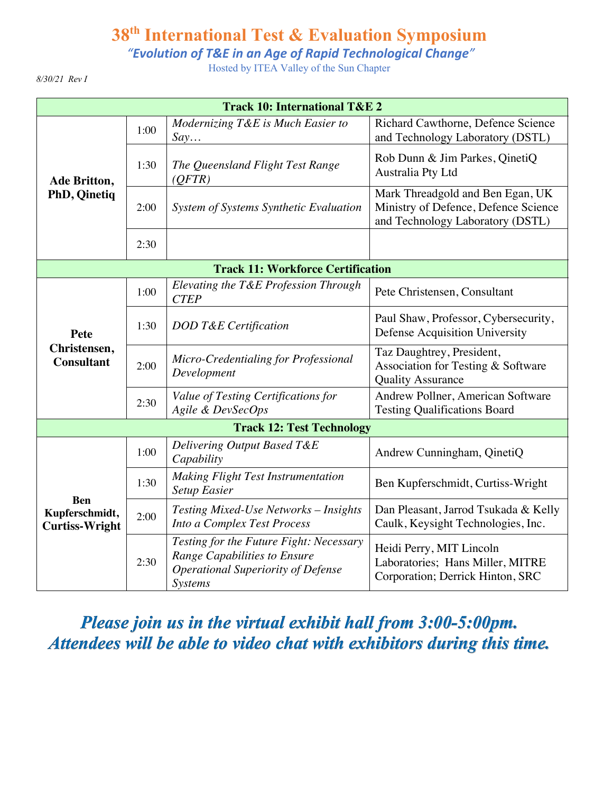*"Evolution of T&E in an Age of Rapid Technological Change"*

Hosted by ITEA Valley of the Sun Chapter

*8/30/21 Rev I*

| <b>Track 10: International T&amp;E 2</b>              |      |                                                                                                                                        |                                                                                                              |
|-------------------------------------------------------|------|----------------------------------------------------------------------------------------------------------------------------------------|--------------------------------------------------------------------------------------------------------------|
| Ade Britton,<br>PhD, Qinetiq                          | 1:00 | Modernizing T&E is Much Easier to<br>Say                                                                                               | Richard Cawthorne, Defence Science<br>and Technology Laboratory (DSTL)                                       |
|                                                       | 1:30 | The Queensland Flight Test Range<br>(QFTR)                                                                                             | Rob Dunn & Jim Parkes, QinetiQ<br>Australia Pty Ltd                                                          |
|                                                       | 2:00 | System of Systems Synthetic Evaluation                                                                                                 | Mark Threadgold and Ben Egan, UK<br>Ministry of Defence, Defence Science<br>and Technology Laboratory (DSTL) |
|                                                       | 2:30 |                                                                                                                                        |                                                                                                              |
| <b>Track 11: Workforce Certification</b>              |      |                                                                                                                                        |                                                                                                              |
| Pete<br>Christensen,<br><b>Consultant</b>             | 1:00 | Elevating the T&E Profession Through<br><b>CTEP</b>                                                                                    | Pete Christensen, Consultant                                                                                 |
|                                                       | 1:30 | DOD T&E Certification                                                                                                                  | Paul Shaw, Professor, Cybersecurity,<br>Defense Acquisition University                                       |
|                                                       | 2:00 | Micro-Credentialing for Professional<br>Development                                                                                    | Taz Daughtrey, President,<br>Association for Testing & Software<br><b>Quality Assurance</b>                  |
|                                                       | 2:30 | Value of Testing Certifications for<br>Agile & DevSecOps                                                                               | Andrew Pollner, American Software<br><b>Testing Qualifications Board</b>                                     |
| <b>Track 12: Test Technology</b>                      |      |                                                                                                                                        |                                                                                                              |
| <b>Ben</b><br>Kupferschmidt,<br><b>Curtiss-Wright</b> | 1:00 | Delivering Output Based T&E<br>Capability                                                                                              | Andrew Cunningham, QinetiQ                                                                                   |
|                                                       | 1:30 | <b>Making Flight Test Instrumentation</b><br><b>Setup Easier</b>                                                                       | Ben Kupferschmidt, Curtiss-Wright                                                                            |
|                                                       | 2:00 | Testing Mixed-Use Networks - Insights<br>Into a Complex Test Process                                                                   | Dan Pleasant, Jarrod Tsukada & Kelly<br>Caulk, Keysight Technologies, Inc.                                   |
|                                                       | 2:30 | Testing for the Future Fight: Necessary<br>Range Capabilities to Ensure<br><b>Operational Superiority of Defense</b><br><b>Systems</b> | Heidi Perry, MIT Lincoln<br>Laboratories; Hans Miller, MITRE<br>Corporation; Derrick Hinton, SRC             |

*Please join us in the virtual exhibit hall from 3:00-5:00pm. Attendees will be able to video chat with exhibitors during this time.*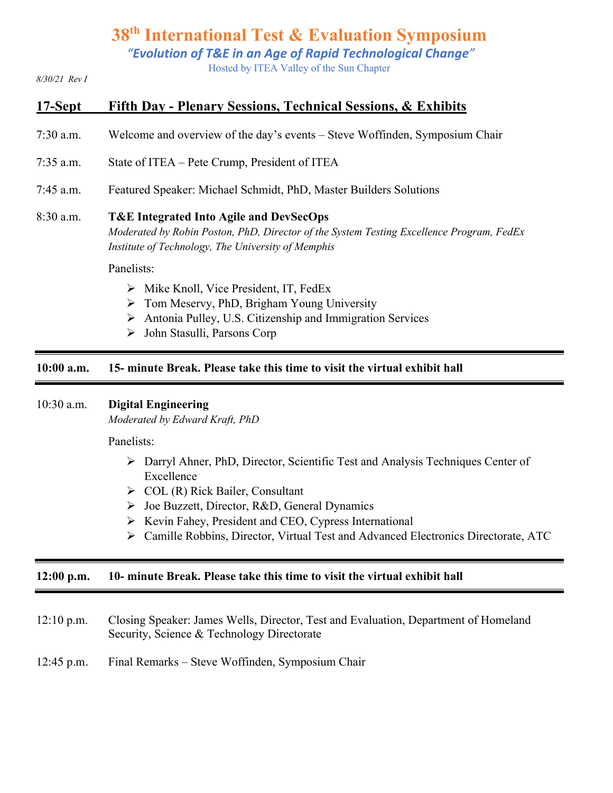*"Evolution of T&E in an Age of Rapid Technological Change"*

Hosted by ITEA Valley of the Sun Chapter

*8/30/21 Rev I*

### **17-Sept Fifth Day - Plenary Sessions, Technical Sessions, & Exhibits**

- 7:30 a.m. Welcome and overview of the day's events Steve Woffinden, Symposium Chair
- 7:35 a.m. State of ITEA Pete Crump, President of ITEA
- 7:45 a.m. Featured Speaker: Michael Schmidt, PhD, Master Builders Solutions

#### 8:30 a.m. **T&E Integrated Into Agile and DevSecOps**

*Moderated by Robin Poston, PhD, Director of the System Testing Excellence Program, FedEx Institute of Technology, The University of Memphis*

Panelists:

- $\triangleright$  Mike Knoll, Vice President, IT, FedEx
- $\triangleright$  Tom Meservy, PhD, Brigham Young University
- $\triangleright$  Antonia Pulley, U.S. Citizenship and Immigration Services
- Ø John Stasulli, Parsons Corp

#### **10:00 a.m. 15- minute Break. Please take this time to visit the virtual exhibit hall**

#### 10:30 a.m. **Digital Engineering**

*Moderated by Edward Kraft, PhD*

Panelists:

- Ø Darryl Ahner, PhD, Director, Scientific Test and Analysis Techniques Center of Excellence
- $\triangleright$  COL (R) Rick Bailer, Consultant
- Ø Joe Buzzett, Director, R&D, General Dynamics
- Ø Kevin Fahey, President and CEO, Cypress International
- Ø Camille Robbins, Director, Virtual Test and Advanced Electronics Directorate, ATC

#### **12:00 p.m. 10- minute Break. Please take this time to visit the virtual exhibit hall**

- 12:10 p.m. Closing Speaker: James Wells, Director, Test and Evaluation, Department of Homeland Security, Science & Technology Directorate
- 12:45 p.m. Final Remarks Steve Woffinden, Symposium Chair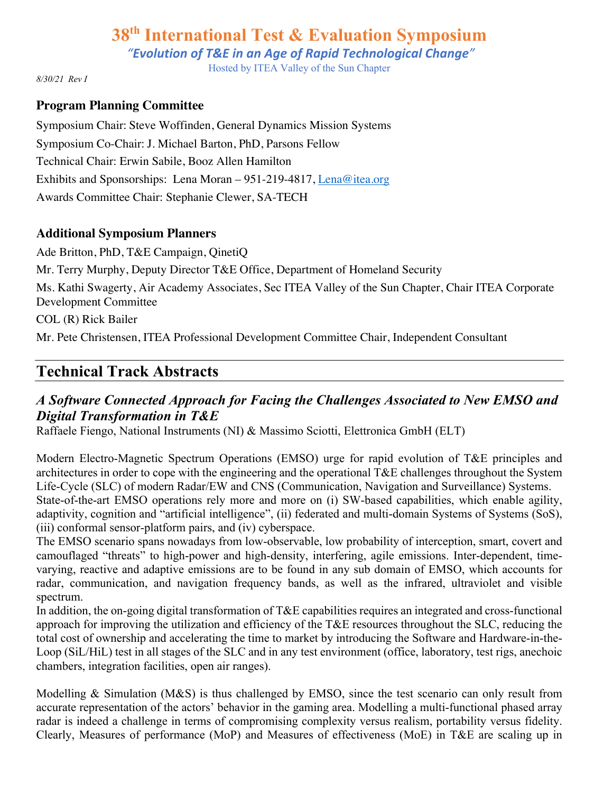*"Evolution of T&E in an Age of Rapid Technological Change"*

Hosted by ITEA Valley of the Sun Chapter

*8/30/21 Rev I*

#### **Program Planning Committee**

Symposium Chair: Steve Woffinden, General Dynamics Mission Systems Symposium Co-Chair: J. Michael Barton, PhD, Parsons Fellow Technical Chair: Erwin Sabile, Booz Allen Hamilton Exhibits and Sponsorships: Lena Moran – 951-219-4817, Lena@itea.org Awards Committee Chair: Stephanie Clewer, SA-TECH

#### **Additional Symposium Planners**

Ade Britton, PhD, T&E Campaign, QinetiQ Mr. Terry Murphy, Deputy Director T&E Office, Department of Homeland Security Ms. Kathi Swagerty, Air Academy Associates, Sec ITEA Valley of the Sun Chapter, Chair ITEA Corporate Development Committee COL (R) Rick Bailer Mr. Pete Christensen, ITEA Professional Development Committee Chair, Independent Consultant

### **Technical Track Abstracts**

### *A Software Connected Approach for Facing the Challenges Associated to New EMSO and Digital Transformation in T&E*

Raffaele Fiengo, National Instruments (NI) & Massimo Sciotti, Elettronica GmbH (ELT)

Modern Electro-Magnetic Spectrum Operations (EMSO) urge for rapid evolution of T&E principles and architectures in order to cope with the engineering and the operational T&E challenges throughout the System Life-Cycle (SLC) of modern Radar/EW and CNS (Communication, Navigation and Surveillance) Systems. State-of-the-art EMSO operations rely more and more on (i) SW-based capabilities, which enable agility, adaptivity, cognition and "artificial intelligence", (ii) federated and multi-domain Systems of Systems (SoS), (iii) conformal sensor-platform pairs, and (iv) cyberspace.

The EMSO scenario spans nowadays from low-observable, low probability of interception, smart, covert and camouflaged "threats" to high-power and high-density, interfering, agile emissions. Inter-dependent, timevarying, reactive and adaptive emissions are to be found in any sub domain of EMSO, which accounts for radar, communication, and navigation frequency bands, as well as the infrared, ultraviolet and visible spectrum.

In addition, the on-going digital transformation of T&E capabilities requires an integrated and cross-functional approach for improving the utilization and efficiency of the T&E resources throughout the SLC, reducing the total cost of ownership and accelerating the time to market by introducing the Software and Hardware-in-the-Loop (SiL/HiL) test in all stages of the SLC and in any test environment (office, laboratory, test rigs, anechoic chambers, integration facilities, open air ranges).

Modelling & Simulation (M&S) is thus challenged by EMSO, since the test scenario can only result from accurate representation of the actors' behavior in the gaming area. Modelling a multi-functional phased array radar is indeed a challenge in terms of compromising complexity versus realism, portability versus fidelity. Clearly, Measures of performance (MoP) and Measures of effectiveness (MoE) in T&E are scaling up in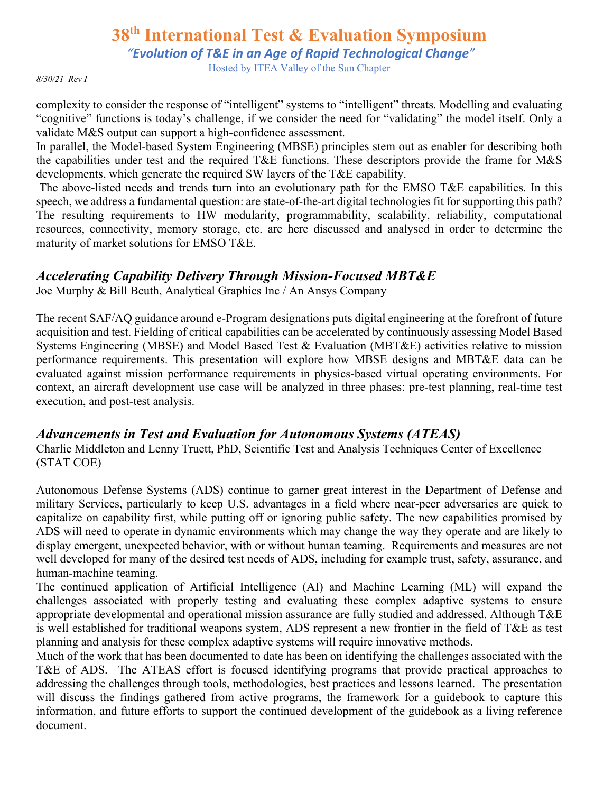*"Evolution of T&E in an Age of Rapid Technological Change"*

Hosted by ITEA Valley of the Sun Chapter

*8/30/21 Rev I*

complexity to consider the response of "intelligent" systems to "intelligent" threats. Modelling and evaluating "cognitive" functions is today's challenge, if we consider the need for "validating" the model itself. Only a validate M&S output can support a high-confidence assessment.

In parallel, the Model-based System Engineering (MBSE) principles stem out as enabler for describing both the capabilities under test and the required T&E functions. These descriptors provide the frame for M&S developments, which generate the required SW layers of the T&E capability.

The above-listed needs and trends turn into an evolutionary path for the EMSO T&E capabilities. In this speech, we address a fundamental question: are state-of-the-art digital technologies fit for supporting this path? The resulting requirements to HW modularity, programmability, scalability, reliability, computational resources, connectivity, memory storage, etc. are here discussed and analysed in order to determine the maturity of market solutions for EMSO T&E.

### *Accelerating Capability Delivery Through Mission-Focused MBT&E*

Joe Murphy & Bill Beuth, Analytical Graphics Inc / An Ansys Company

The recent SAF/AQ guidance around e-Program designations puts digital engineering at the forefront of future acquisition and test. Fielding of critical capabilities can be accelerated by continuously assessing Model Based Systems Engineering (MBSE) and Model Based Test & Evaluation (MBT&E) activities relative to mission performance requirements. This presentation will explore how MBSE designs and MBT&E data can be evaluated against mission performance requirements in physics-based virtual operating environments. For context, an aircraft development use case will be analyzed in three phases: pre-test planning, real-time test execution, and post-test analysis.

#### *Advancements in Test and Evaluation for Autonomous Systems (ATEAS)*

Charlie Middleton and Lenny Truett, PhD, Scientific Test and Analysis Techniques Center of Excellence (STAT COE)

Autonomous Defense Systems (ADS) continue to garner great interest in the Department of Defense and military Services, particularly to keep U.S. advantages in a field where near-peer adversaries are quick to capitalize on capability first, while putting off or ignoring public safety. The new capabilities promised by ADS will need to operate in dynamic environments which may change the way they operate and are likely to display emergent, unexpected behavior, with or without human teaming. Requirements and measures are not well developed for many of the desired test needs of ADS, including for example trust, safety, assurance, and human-machine teaming.

The continued application of Artificial Intelligence (AI) and Machine Learning (ML) will expand the challenges associated with properly testing and evaluating these complex adaptive systems to ensure appropriate developmental and operational mission assurance are fully studied and addressed. Although T&E is well established for traditional weapons system, ADS represent a new frontier in the field of T&E as test planning and analysis for these complex adaptive systems will require innovative methods.

Much of the work that has been documented to date has been on identifying the challenges associated with the T&E of ADS. The ATEAS effort is focused identifying programs that provide practical approaches to addressing the challenges through tools, methodologies, best practices and lessons learned. The presentation will discuss the findings gathered from active programs, the framework for a guidebook to capture this information, and future efforts to support the continued development of the guidebook as a living reference document.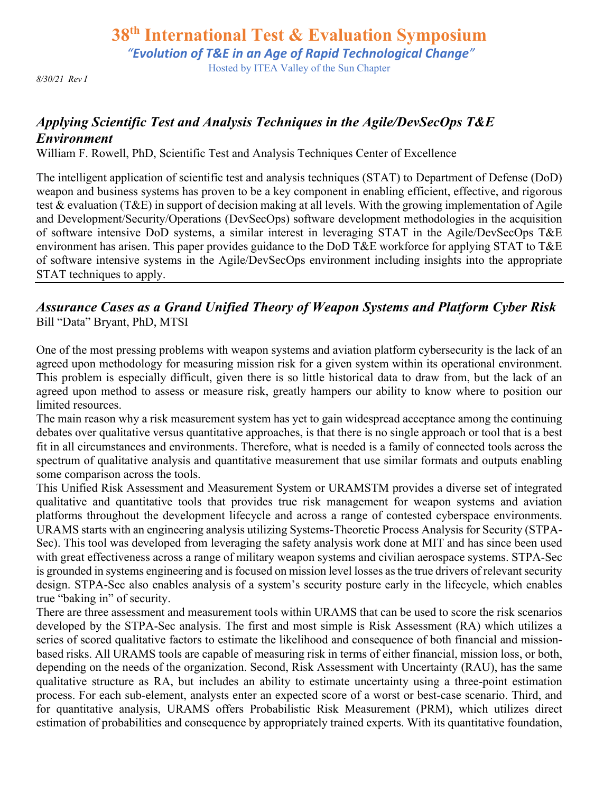*"Evolution of T&E in an Age of Rapid Technological Change"*

Hosted by ITEA Valley of the Sun Chapter

*8/30/21 Rev I*

### *Applying Scientific Test and Analysis Techniques in the Agile/DevSecOps T&E Environment*

William F. Rowell, PhD, Scientific Test and Analysis Techniques Center of Excellence

The intelligent application of scientific test and analysis techniques (STAT) to Department of Defense (DoD) weapon and business systems has proven to be a key component in enabling efficient, effective, and rigorous test & evaluation (T&E) in support of decision making at all levels. With the growing implementation of Agile and Development/Security/Operations (DevSecOps) software development methodologies in the acquisition of software intensive DoD systems, a similar interest in leveraging STAT in the Agile/DevSecOps T&E environment has arisen. This paper provides guidance to the DoD T&E workforce for applying STAT to T&E of software intensive systems in the Agile/DevSecOps environment including insights into the appropriate STAT techniques to apply.

#### *Assurance Cases as a Grand Unified Theory of Weapon Systems and Platform Cyber Risk* Bill "Data" Bryant, PhD, MTSI

One of the most pressing problems with weapon systems and aviation platform cybersecurity is the lack of an agreed upon methodology for measuring mission risk for a given system within its operational environment. This problem is especially difficult, given there is so little historical data to draw from, but the lack of an agreed upon method to assess or measure risk, greatly hampers our ability to know where to position our limited resources.

The main reason why a risk measurement system has yet to gain widespread acceptance among the continuing debates over qualitative versus quantitative approaches, is that there is no single approach or tool that is a best fit in all circumstances and environments. Therefore, what is needed is a family of connected tools across the spectrum of qualitative analysis and quantitative measurement that use similar formats and outputs enabling some comparison across the tools.

This Unified Risk Assessment and Measurement System or URAMSTM provides a diverse set of integrated qualitative and quantitative tools that provides true risk management for weapon systems and aviation platforms throughout the development lifecycle and across a range of contested cyberspace environments. URAMS starts with an engineering analysis utilizing Systems-Theoretic Process Analysis for Security (STPA-Sec). This tool was developed from leveraging the safety analysis work done at MIT and has since been used with great effectiveness across a range of military weapon systems and civilian aerospace systems. STPA-Sec is grounded in systems engineering and is focused on mission level losses as the true drivers of relevant security design. STPA-Sec also enables analysis of a system's security posture early in the lifecycle, which enables true "baking in" of security.

There are three assessment and measurement tools within URAMS that can be used to score the risk scenarios developed by the STPA-Sec analysis. The first and most simple is Risk Assessment (RA) which utilizes a series of scored qualitative factors to estimate the likelihood and consequence of both financial and missionbased risks. All URAMS tools are capable of measuring risk in terms of either financial, mission loss, or both, depending on the needs of the organization. Second, Risk Assessment with Uncertainty (RAU), has the same qualitative structure as RA, but includes an ability to estimate uncertainty using a three-point estimation process. For each sub-element, analysts enter an expected score of a worst or best-case scenario. Third, and for quantitative analysis, URAMS offers Probabilistic Risk Measurement (PRM), which utilizes direct estimation of probabilities and consequence by appropriately trained experts. With its quantitative foundation,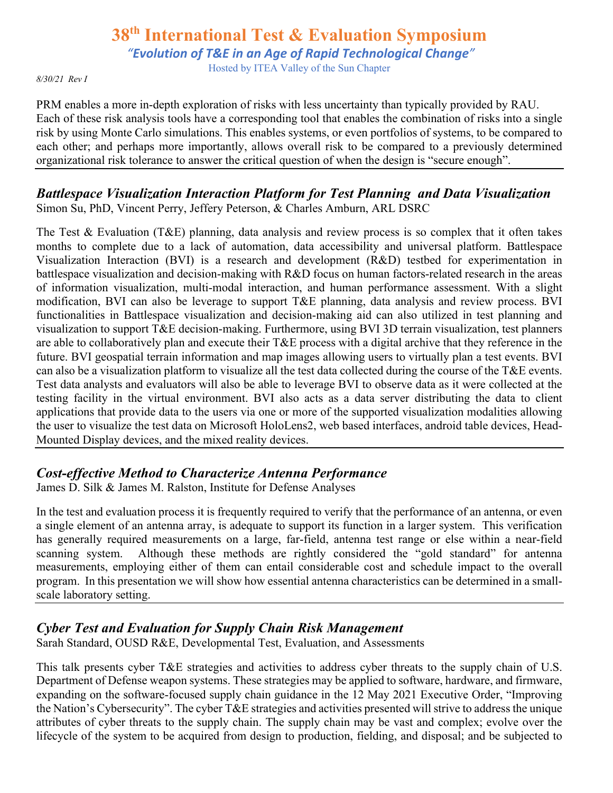*"Evolution of T&E in an Age of Rapid Technological Change"*

Hosted by ITEA Valley of the Sun Chapter

#### *8/30/21 Rev I*

PRM enables a more in-depth exploration of risks with less uncertainty than typically provided by RAU. Each of these risk analysis tools have a corresponding tool that enables the combination of risks into a single risk by using Monte Carlo simulations. This enables systems, or even portfolios of systems, to be compared to each other; and perhaps more importantly, allows overall risk to be compared to a previously determined organizational risk tolerance to answer the critical question of when the design is "secure enough".

#### *Battlespace Visualization Interaction Platform for Test Planning and Data Visualization* Simon Su, PhD, Vincent Perry, Jeffery Peterson, & Charles Amburn, ARL DSRC

The Test & Evaluation (T&E) planning, data analysis and review process is so complex that it often takes months to complete due to a lack of automation, data accessibility and universal platform. Battlespace Visualization Interaction (BVI) is a research and development (R&D) testbed for experimentation in battlespace visualization and decision-making with R&D focus on human factors-related research in the areas of information visualization, multi-modal interaction, and human performance assessment. With a slight modification, BVI can also be leverage to support T&E planning, data analysis and review process. BVI functionalities in Battlespace visualization and decision-making aid can also utilized in test planning and visualization to support T&E decision-making. Furthermore, using BVI 3D terrain visualization, test planners are able to collaboratively plan and execute their T&E process with a digital archive that they reference in the future. BVI geospatial terrain information and map images allowing users to virtually plan a test events. BVI can also be a visualization platform to visualize all the test data collected during the course of the T&E events. Test data analysts and evaluators will also be able to leverage BVI to observe data as it were collected at the testing facility in the virtual environment. BVI also acts as a data server distributing the data to client applications that provide data to the users via one or more of the supported visualization modalities allowing the user to visualize the test data on Microsoft HoloLens2, web based interfaces, android table devices, Head-Mounted Display devices, and the mixed reality devices.

### *Cost-effective Method to Characterize Antenna Performance*

James D. Silk & James M. Ralston, Institute for Defense Analyses

In the test and evaluation process it is frequently required to verify that the performance of an antenna, or even a single element of an antenna array, is adequate to support its function in a larger system. This verification has generally required measurements on a large, far-field, antenna test range or else within a near-field scanning system. Although these methods are rightly considered the "gold standard" for antenna measurements, employing either of them can entail considerable cost and schedule impact to the overall program. In this presentation we will show how essential antenna characteristics can be determined in a smallscale laboratory setting.

### *Cyber Test and Evaluation for Supply Chain Risk Management*

Sarah Standard, OUSD R&E, Developmental Test, Evaluation, and Assessments

This talk presents cyber T&E strategies and activities to address cyber threats to the supply chain of U.S. Department of Defense weapon systems. These strategies may be applied to software, hardware, and firmware, expanding on the software-focused supply chain guidance in the 12 May 2021 Executive Order, "Improving the Nation's Cybersecurity". The cyber T&E strategies and activities presented will strive to address the unique attributes of cyber threats to the supply chain. The supply chain may be vast and complex; evolve over the lifecycle of the system to be acquired from design to production, fielding, and disposal; and be subjected to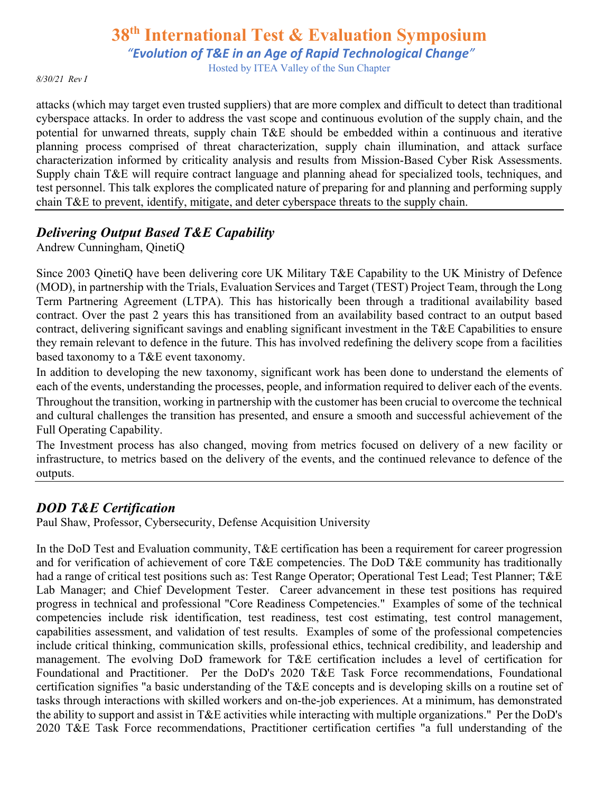*"Evolution of T&E in an Age of Rapid Technological Change"*

Hosted by ITEA Valley of the Sun Chapter

*8/30/21 Rev I*

attacks (which may target even trusted suppliers) that are more complex and difficult to detect than traditional cyberspace attacks. In order to address the vast scope and continuous evolution of the supply chain, and the potential for unwarned threats, supply chain T&E should be embedded within a continuous and iterative planning process comprised of threat characterization, supply chain illumination, and attack surface characterization informed by criticality analysis and results from Mission-Based Cyber Risk Assessments. Supply chain T&E will require contract language and planning ahead for specialized tools, techniques, and test personnel. This talk explores the complicated nature of preparing for and planning and performing supply chain T&E to prevent, identify, mitigate, and deter cyberspace threats to the supply chain.

### *Delivering Output Based T&E Capability*

Andrew Cunningham, QinetiQ

Since 2003 QinetiQ have been delivering core UK Military T&E Capability to the UK Ministry of Defence (MOD), in partnership with the Trials, Evaluation Services and Target (TEST) Project Team, through the Long Term Partnering Agreement (LTPA). This has historically been through a traditional availability based contract. Over the past 2 years this has transitioned from an availability based contract to an output based contract, delivering significant savings and enabling significant investment in the T&E Capabilities to ensure they remain relevant to defence in the future. This has involved redefining the delivery scope from a facilities based taxonomy to a T&E event taxonomy.

In addition to developing the new taxonomy, significant work has been done to understand the elements of each of the events, understanding the processes, people, and information required to deliver each of the events. Throughout the transition, working in partnership with the customer has been crucial to overcome the technical and cultural challenges the transition has presented, and ensure a smooth and successful achievement of the Full Operating Capability.

The Investment process has also changed, moving from metrics focused on delivery of a new facility or infrastructure, to metrics based on the delivery of the events, and the continued relevance to defence of the outputs.

### *DOD T&E Certification*

Paul Shaw, Professor, Cybersecurity, Defense Acquisition University

In the DoD Test and Evaluation community, T&E certification has been a requirement for career progression and for verification of achievement of core T&E competencies. The DoD T&E community has traditionally had a range of critical test positions such as: Test Range Operator; Operational Test Lead; Test Planner; T&E Lab Manager; and Chief Development Tester. Career advancement in these test positions has required progress in technical and professional "Core Readiness Competencies." Examples of some of the technical competencies include risk identification, test readiness, test cost estimating, test control management, capabilities assessment, and validation of test results. Examples of some of the professional competencies include critical thinking, communication skills, professional ethics, technical credibility, and leadership and management. The evolving DoD framework for T&E certification includes a level of certification for Foundational and Practitioner. Per the DoD's 2020 T&E Task Force recommendations, Foundational certification signifies "a basic understanding of the T&E concepts and is developing skills on a routine set of tasks through interactions with skilled workers and on-the-job experiences. At a minimum, has demonstrated the ability to support and assist in T&E activities while interacting with multiple organizations." Per the DoD's 2020 T&E Task Force recommendations, Practitioner certification certifies "a full understanding of the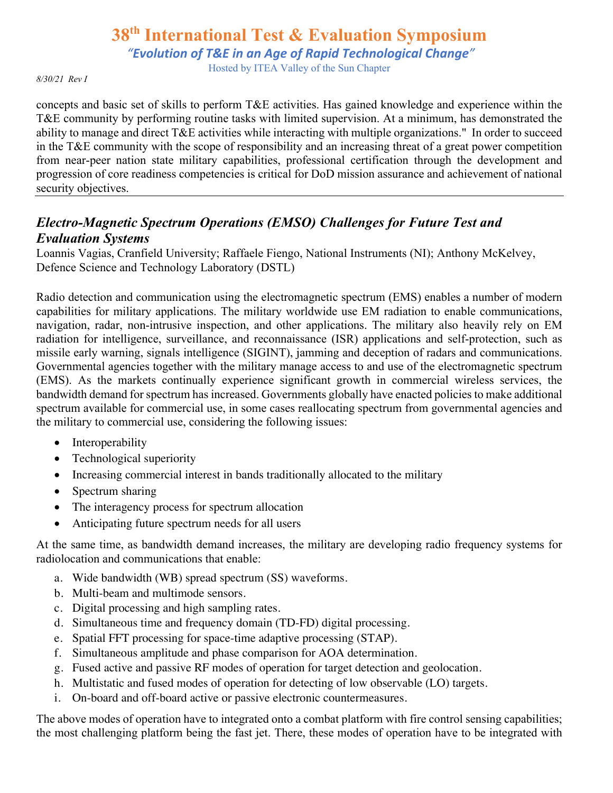*"Evolution of T&E in an Age of Rapid Technological Change"*

Hosted by ITEA Valley of the Sun Chapter

#### *8/30/21 Rev I*

concepts and basic set of skills to perform T&E activities. Has gained knowledge and experience within the T&E community by performing routine tasks with limited supervision. At a minimum, has demonstrated the ability to manage and direct T&E activities while interacting with multiple organizations." In order to succeed in the T&E community with the scope of responsibility and an increasing threat of a great power competition from near-peer nation state military capabilities, professional certification through the development and progression of core readiness competencies is critical for DoD mission assurance and achievement of national security objectives.

### *Electro-Magnetic Spectrum Operations (EMSO) Challenges for Future Test and Evaluation Systems*

Loannis Vagias, Cranfield University; Raffaele Fiengo, National Instruments (NI); Anthony McKelvey, Defence Science and Technology Laboratory (DSTL)

Radio detection and communication using the electromagnetic spectrum (EMS) enables a number of modern capabilities for military applications. The military worldwide use EM radiation to enable communications, navigation, radar, non-intrusive inspection, and other applications. The military also heavily rely on EM radiation for intelligence, surveillance, and reconnaissance (ISR) applications and self-protection, such as missile early warning, signals intelligence (SIGINT), jamming and deception of radars and communications. Governmental agencies together with the military manage access to and use of the electromagnetic spectrum (EMS). As the markets continually experience significant growth in commercial wireless services, the bandwidth demand for spectrum has increased. Governments globally have enacted policies to make additional spectrum available for commercial use, in some cases reallocating spectrum from governmental agencies and the military to commercial use, considering the following issues:

- Interoperability
- Technological superiority
- Increasing commercial interest in bands traditionally allocated to the military
- Spectrum sharing
- The interagency process for spectrum allocation
- Anticipating future spectrum needs for all users

At the same time, as bandwidth demand increases, the military are developing radio frequency systems for radiolocation and communications that enable:

- a. Wide bandwidth (WB) spread spectrum (SS) waveforms.
- b. Multi-beam and multimode sensors.
- c. Digital processing and high sampling rates.
- d. Simultaneous time and frequency domain (TD-FD) digital processing.
- e. Spatial FFT processing for space-time adaptive processing (STAP).
- f. Simultaneous amplitude and phase comparison for AOA determination.
- g. Fused active and passive RF modes of operation for target detection and geolocation.
- h. Multistatic and fused modes of operation for detecting of low observable (LO) targets.
- i. On-board and off-board active or passive electronic countermeasures.

The above modes of operation have to integrated onto a combat platform with fire control sensing capabilities; the most challenging platform being the fast jet. There, these modes of operation have to be integrated with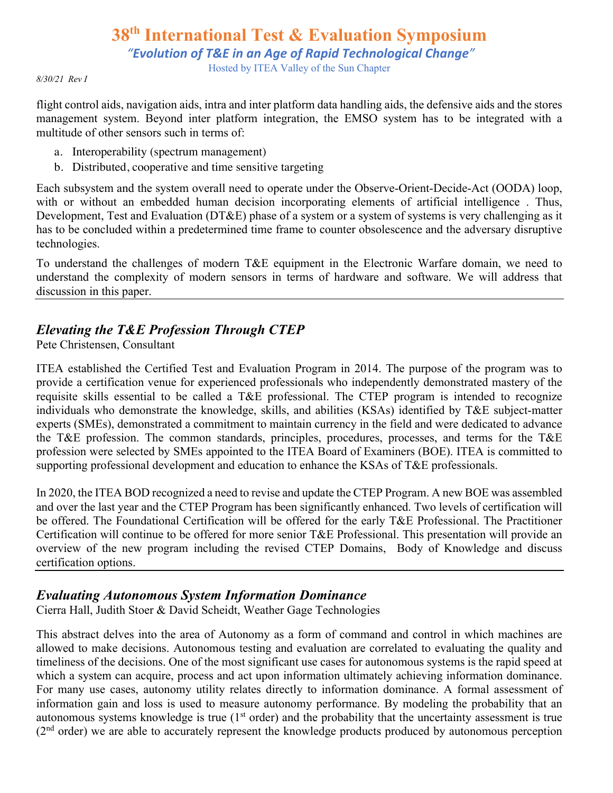*"Evolution of T&E in an Age of Rapid Technological Change"*

Hosted by ITEA Valley of the Sun Chapter

*8/30/21 Rev I*

flight control aids, navigation aids, intra and inter platform data handling aids, the defensive aids and the stores management system. Beyond inter platform integration, the EMSO system has to be integrated with a multitude of other sensors such in terms of:

- a. Interoperability (spectrum management)
- b. Distributed, cooperative and time sensitive targeting

Each subsystem and the system overall need to operate under the Observe-Orient-Decide-Act (OODA) loop, with or without an embedded human decision incorporating elements of artificial intelligence. Thus, Development, Test and Evaluation (DT&E) phase of a system or a system of systems is very challenging as it has to be concluded within a predetermined time frame to counter obsolescence and the adversary disruptive technologies.

To understand the challenges of modern T&E equipment in the Electronic Warfare domain, we need to understand the complexity of modern sensors in terms of hardware and software. We will address that discussion in this paper.

### *Elevating the T&E Profession Through CTEP*

Pete Christensen, Consultant

ITEA established the Certified Test and Evaluation Program in 2014. The purpose of the program was to provide a certification venue for experienced professionals who independently demonstrated mastery of the requisite skills essential to be called a T&E professional. The CTEP program is intended to recognize individuals who demonstrate the knowledge, skills, and abilities (KSAs) identified by T&E subject-matter experts (SMEs), demonstrated a commitment to maintain currency in the field and were dedicated to advance the T&E profession. The common standards, principles, procedures, processes, and terms for the T&E profession were selected by SMEs appointed to the ITEA Board of Examiners (BOE). ITEA is committed to supporting professional development and education to enhance the KSAs of T&E professionals.

In 2020, the ITEA BOD recognized a need to revise and update the CTEP Program. A new BOE was assembled and over the last year and the CTEP Program has been significantly enhanced. Two levels of certification will be offered. The Foundational Certification will be offered for the early T&E Professional. The Practitioner Certification will continue to be offered for more senior T&E Professional. This presentation will provide an overview of the new program including the revised CTEP Domains, Body of Knowledge and discuss certification options.

#### *Evaluating Autonomous System Information Dominance*

Cierra Hall, Judith Stoer & David Scheidt, Weather Gage Technologies

This abstract delves into the area of Autonomy as a form of command and control in which machines are allowed to make decisions. Autonomous testing and evaluation are correlated to evaluating the quality and timeliness of the decisions. One of the most significant use cases for autonomous systems is the rapid speed at which a system can acquire, process and act upon information ultimately achieving information dominance. For many use cases, autonomy utility relates directly to information dominance. A formal assessment of information gain and loss is used to measure autonomy performance. By modeling the probability that an autonomous systems knowledge is true  $(1<sup>st</sup> order)$  and the probability that the uncertainty assessment is true (2nd order) we are able to accurately represent the knowledge products produced by autonomous perception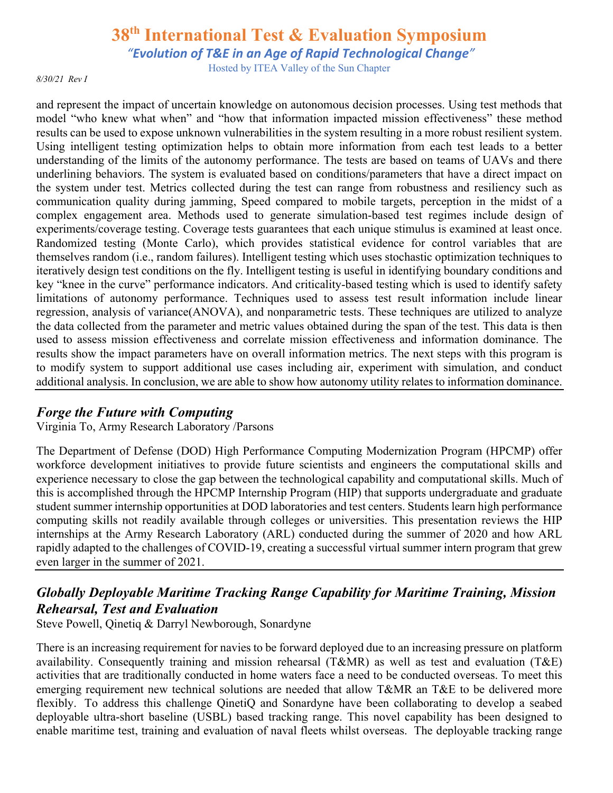*"Evolution of T&E in an Age of Rapid Technological Change"*

Hosted by ITEA Valley of the Sun Chapter

*8/30/21 Rev I*

and represent the impact of uncertain knowledge on autonomous decision processes. Using test methods that model "who knew what when" and "how that information impacted mission effectiveness" these method results can be used to expose unknown vulnerabilities in the system resulting in a more robust resilient system. Using intelligent testing optimization helps to obtain more information from each test leads to a better understanding of the limits of the autonomy performance. The tests are based on teams of UAVs and there underlining behaviors. The system is evaluated based on conditions/parameters that have a direct impact on the system under test. Metrics collected during the test can range from robustness and resiliency such as communication quality during jamming, Speed compared to mobile targets, perception in the midst of a complex engagement area. Methods used to generate simulation-based test regimes include design of experiments/coverage testing. Coverage tests guarantees that each unique stimulus is examined at least once. Randomized testing (Monte Carlo), which provides statistical evidence for control variables that are themselves random (i.e., random failures). Intelligent testing which uses stochastic optimization techniques to iteratively design test conditions on the fly. Intelligent testing is useful in identifying boundary conditions and key "knee in the curve" performance indicators. And criticality-based testing which is used to identify safety limitations of autonomy performance. Techniques used to assess test result information include linear regression, analysis of variance(ANOVA), and nonparametric tests. These techniques are utilized to analyze the data collected from the parameter and metric values obtained during the span of the test. This data is then used to assess mission effectiveness and correlate mission effectiveness and information dominance. The results show the impact parameters have on overall information metrics. The next steps with this program is to modify system to support additional use cases including air, experiment with simulation, and conduct additional analysis. In conclusion, we are able to show how autonomy utility relates to information dominance.

#### *Forge the Future with Computing*

Virginia To, Army Research Laboratory /Parsons

The Department of Defense (DOD) High Performance Computing Modernization Program (HPCMP) offer workforce development initiatives to provide future scientists and engineers the computational skills and experience necessary to close the gap between the technological capability and computational skills. Much of this is accomplished through the HPCMP Internship Program (HIP) that supports undergraduate and graduate student summer internship opportunities at DOD laboratories and test centers. Students learn high performance computing skills not readily available through colleges or universities. This presentation reviews the HIP internships at the Army Research Laboratory (ARL) conducted during the summer of 2020 and how ARL rapidly adapted to the challenges of COVID-19, creating a successful virtual summer intern program that grew even larger in the summer of 2021.

### *Globally Deployable Maritime Tracking Range Capability for Maritime Training, Mission Rehearsal, Test and Evaluation*

Steve Powell, Qinetiq & Darryl Newborough, Sonardyne

There is an increasing requirement for navies to be forward deployed due to an increasing pressure on platform availability. Consequently training and mission rehearsal (T&MR) as well as test and evaluation (T&E) activities that are traditionally conducted in home waters face a need to be conducted overseas. To meet this emerging requirement new technical solutions are needed that allow T&MR an T&E to be delivered more flexibly. To address this challenge QinetiQ and Sonardyne have been collaborating to develop a seabed deployable ultra-short baseline (USBL) based tracking range. This novel capability has been designed to enable maritime test, training and evaluation of naval fleets whilst overseas. The deployable tracking range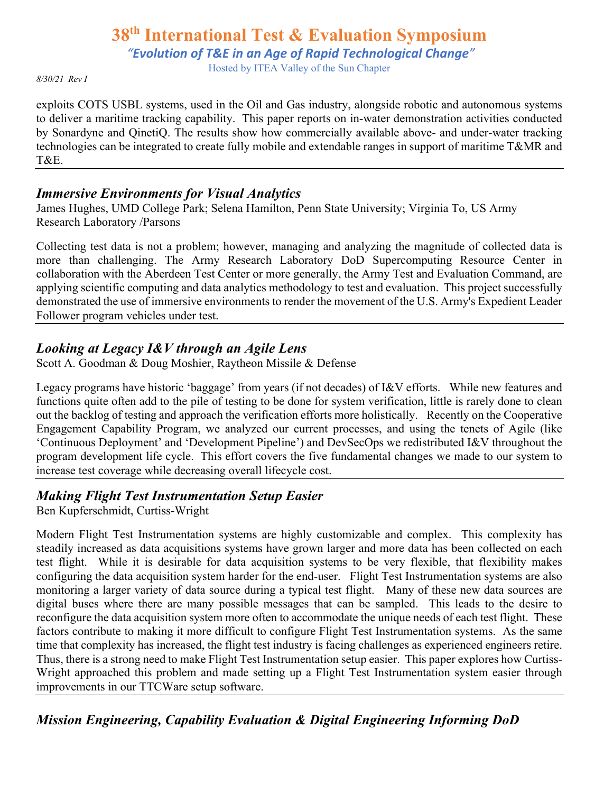*"Evolution of T&E in an Age of Rapid Technological Change"*

Hosted by ITEA Valley of the Sun Chapter

*8/30/21 Rev I*

exploits COTS USBL systems, used in the Oil and Gas industry, alongside robotic and autonomous systems to deliver a maritime tracking capability. This paper reports on in-water demonstration activities conducted by Sonardyne and QinetiQ. The results show how commercially available above- and under-water tracking technologies can be integrated to create fully mobile and extendable ranges in support of maritime T&MR and T&E.

#### *Immersive Environments for Visual Analytics*

James Hughes, UMD College Park; Selena Hamilton, Penn State University; Virginia To, US Army Research Laboratory /Parsons

Collecting test data is not a problem; however, managing and analyzing the magnitude of collected data is more than challenging. The Army Research Laboratory DoD Supercomputing Resource Center in collaboration with the Aberdeen Test Center or more generally, the Army Test and Evaluation Command, are applying scientific computing and data analytics methodology to test and evaluation. This project successfully demonstrated the use of immersive environments to render the movement of the U.S. Army's Expedient Leader Follower program vehicles under test.

### *Looking at Legacy I&V through an Agile Lens*

Scott A. Goodman & Doug Moshier, Raytheon Missile & Defense

Legacy programs have historic 'baggage' from years (if not decades) of I&V efforts. While new features and functions quite often add to the pile of testing to be done for system verification, little is rarely done to clean out the backlog of testing and approach the verification efforts more holistically. Recently on the Cooperative Engagement Capability Program, we analyzed our current processes, and using the tenets of Agile (like 'Continuous Deployment' and 'Development Pipeline') and DevSecOps we redistributed I&V throughout the program development life cycle. This effort covers the five fundamental changes we made to our system to increase test coverage while decreasing overall lifecycle cost.

### *Making Flight Test Instrumentation Setup Easier*

Ben Kupferschmidt, Curtiss-Wright

Modern Flight Test Instrumentation systems are highly customizable and complex. This complexity has steadily increased as data acquisitions systems have grown larger and more data has been collected on each test flight. While it is desirable for data acquisition systems to be very flexible, that flexibility makes configuring the data acquisition system harder for the end-user. Flight Test Instrumentation systems are also monitoring a larger variety of data source during a typical test flight. Many of these new data sources are digital buses where there are many possible messages that can be sampled. This leads to the desire to reconfigure the data acquisition system more often to accommodate the unique needs of each test flight. These factors contribute to making it more difficult to configure Flight Test Instrumentation systems. As the same time that complexity has increased, the flight test industry is facing challenges as experienced engineers retire. Thus, there is a strong need to make Flight Test Instrumentation setup easier. This paper explores how Curtiss-Wright approached this problem and made setting up a Flight Test Instrumentation system easier through improvements in our TTCWare setup software.

## *Mission Engineering, Capability Evaluation & Digital Engineering Informing DoD*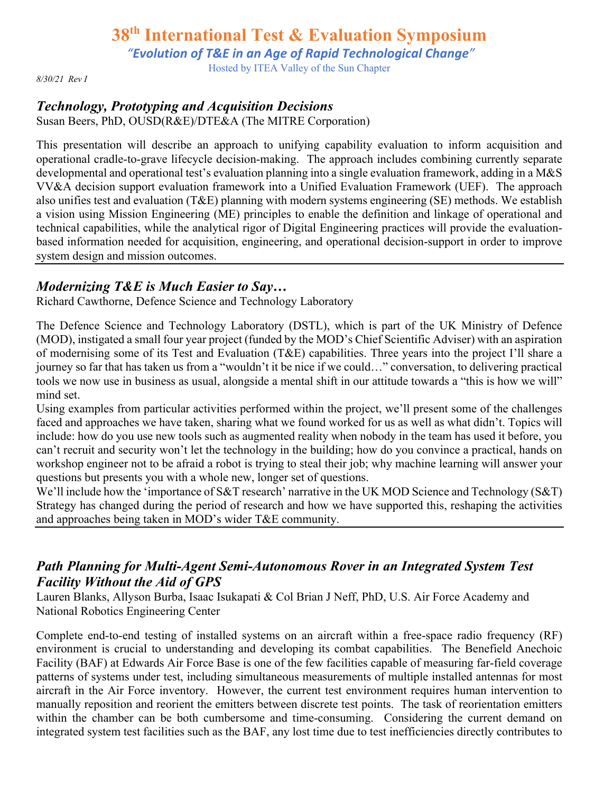*"Evolution of T&E in an Age of Rapid Technological Change"*

Hosted by ITEA Valley of the Sun Chapter

*8/30/21 Rev I*

### *Technology, Prototyping and Acquisition Decisions*

Susan Beers, PhD, OUSD(R&E)/DTE&A (The MITRE Corporation)

This presentation will describe an approach to unifying capability evaluation to inform acquisition and operational cradle-to-grave lifecycle decision-making. The approach includes combining currently separate developmental and operational test's evaluation planning into a single evaluation framework, adding in a M&S VV&A decision support evaluation framework into a Unified Evaluation Framework (UEF). The approach also unifies test and evaluation (T&E) planning with modern systems engineering (SE) methods. We establish a vision using Mission Engineering (ME) principles to enable the definition and linkage of operational and technical capabilities, while the analytical rigor of Digital Engineering practices will provide the evaluationbased information needed for acquisition, engineering, and operational decision-support in order to improve system design and mission outcomes.

#### *Modernizing T&E is Much Easier to Say…*

Richard Cawthorne, Defence Science and Technology Laboratory

The Defence Science and Technology Laboratory (DSTL), which is part of the UK Ministry of Defence (MOD), instigated a small four year project (funded by the MOD's Chief Scientific Adviser) with an aspiration of modernising some of its Test and Evaluation (T&E) capabilities. Three years into the project I'll share a journey so far that has taken us from a "wouldn't it be nice if we could…" conversation, to delivering practical tools we now use in business as usual, alongside a mental shift in our attitude towards a "this is how we will" mind set.

Using examples from particular activities performed within the project, we'll present some of the challenges faced and approaches we have taken, sharing what we found worked for us as well as what didn't. Topics will include: how do you use new tools such as augmented reality when nobody in the team has used it before, you can't recruit and security won't let the technology in the building; how do you convince a practical, hands on workshop engineer not to be afraid a robot is trying to steal their job; why machine learning will answer your questions but presents you with a whole new, longer set of questions.

We'll include how the 'importance of S&T research' narrative in the UK MOD Science and Technology (S&T) Strategy has changed during the period of research and how we have supported this, reshaping the activities and approaches being taken in MOD's wider T&E community.

### *Path Planning for Multi-Agent Semi-Autonomous Rover in an Integrated System Test Facility Without the Aid of GPS*

Lauren Blanks, Allyson Burba, Isaac Isukapati & Col Brian J Neff, PhD, U.S. Air Force Academy and National Robotics Engineering Center

Complete end-to-end testing of installed systems on an aircraft within a free-space radio frequency (RF) environment is crucial to understanding and developing its combat capabilities. The Benefield Anechoic Facility (BAF) at Edwards Air Force Base is one of the few facilities capable of measuring far-field coverage patterns of systems under test, including simultaneous measurements of multiple installed antennas for most aircraft in the Air Force inventory. However, the current test environment requires human intervention to manually reposition and reorient the emitters between discrete test points. The task of reorientation emitters within the chamber can be both cumbersome and time-consuming. Considering the current demand on integrated system test facilities such as the BAF, any lost time due to test inefficiencies directly contributes to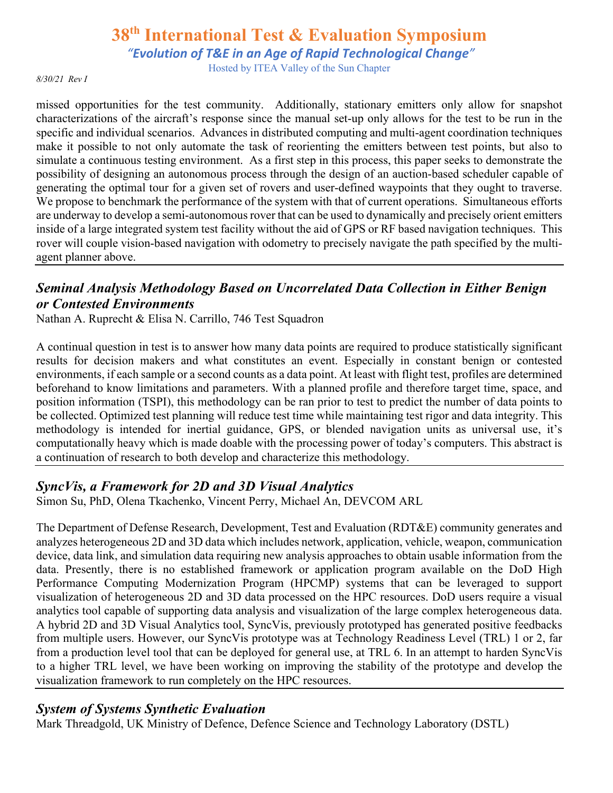*"Evolution of T&E in an Age of Rapid Technological Change"*

Hosted by ITEA Valley of the Sun Chapter

*8/30/21 Rev I*

missed opportunities for the test community. Additionally, stationary emitters only allow for snapshot characterizations of the aircraft's response since the manual set-up only allows for the test to be run in the specific and individual scenarios. Advances in distributed computing and multi-agent coordination techniques make it possible to not only automate the task of reorienting the emitters between test points, but also to simulate a continuous testing environment. As a first step in this process, this paper seeks to demonstrate the possibility of designing an autonomous process through the design of an auction-based scheduler capable of generating the optimal tour for a given set of rovers and user-defined waypoints that they ought to traverse. We propose to benchmark the performance of the system with that of current operations. Simultaneous efforts are underway to develop a semi-autonomous rover that can be used to dynamically and precisely orient emitters inside of a large integrated system test facility without the aid of GPS or RF based navigation techniques. This rover will couple vision-based navigation with odometry to precisely navigate the path specified by the multiagent planner above.

### *Seminal Analysis Methodology Based on Uncorrelated Data Collection in Either Benign or Contested Environments*

Nathan A. Ruprecht & Elisa N. Carrillo, 746 Test Squadron

A continual question in test is to answer how many data points are required to produce statistically significant results for decision makers and what constitutes an event. Especially in constant benign or contested environments, if each sample or a second counts as a data point. At least with flight test, profiles are determined beforehand to know limitations and parameters. With a planned profile and therefore target time, space, and position information (TSPI), this methodology can be ran prior to test to predict the number of data points to be collected. Optimized test planning will reduce test time while maintaining test rigor and data integrity. This methodology is intended for inertial guidance, GPS, or blended navigation units as universal use, it's computationally heavy which is made doable with the processing power of today's computers. This abstract is a continuation of research to both develop and characterize this methodology.

#### *SyncVis, a Framework for 2D and 3D Visual Analytics*

Simon Su, PhD, Olena Tkachenko, Vincent Perry, Michael An, DEVCOM ARL

The Department of Defense Research, Development, Test and Evaluation (RDT&E) community generates and analyzes heterogeneous 2D and 3D data which includes network, application, vehicle, weapon, communication device, data link, and simulation data requiring new analysis approaches to obtain usable information from the data. Presently, there is no established framework or application program available on the DoD High Performance Computing Modernization Program (HPCMP) systems that can be leveraged to support visualization of heterogeneous 2D and 3D data processed on the HPC resources. DoD users require a visual analytics tool capable of supporting data analysis and visualization of the large complex heterogeneous data. A hybrid 2D and 3D Visual Analytics tool, SyncVis, previously prototyped has generated positive feedbacks from multiple users. However, our SyncVis prototype was at Technology Readiness Level (TRL) 1 or 2, far from a production level tool that can be deployed for general use, at TRL 6. In an attempt to harden SyncVis to a higher TRL level, we have been working on improving the stability of the prototype and develop the visualization framework to run completely on the HPC resources.

#### *System of Systems Synthetic Evaluation*

Mark Threadgold, UK Ministry of Defence, Defence Science and Technology Laboratory (DSTL)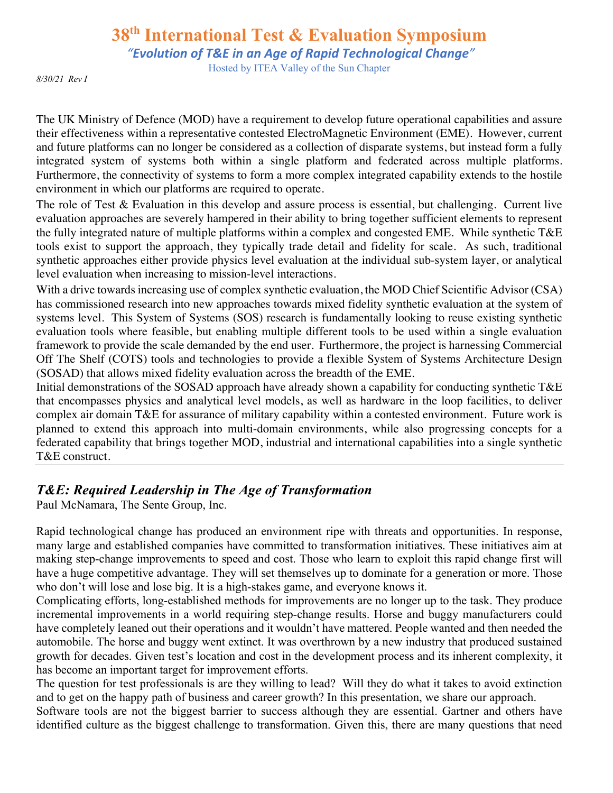*"Evolution of T&E in an Age of Rapid Technological Change"*

Hosted by ITEA Valley of the Sun Chapter

*8/30/21 Rev I*

The UK Ministry of Defence (MOD) have a requirement to develop future operational capabilities and assure their effectiveness within a representative contested ElectroMagnetic Environment (EME). However, current and future platforms can no longer be considered as a collection of disparate systems, but instead form a fully integrated system of systems both within a single platform and federated across multiple platforms. Furthermore, the connectivity of systems to form a more complex integrated capability extends to the hostile environment in which our platforms are required to operate.

The role of Test & Evaluation in this develop and assure process is essential, but challenging. Current live evaluation approaches are severely hampered in their ability to bring together sufficient elements to represent the fully integrated nature of multiple platforms within a complex and congested EME. While synthetic T&E tools exist to support the approach, they typically trade detail and fidelity for scale. As such, traditional synthetic approaches either provide physics level evaluation at the individual sub-system layer, or analytical level evaluation when increasing to mission-level interactions.

With a drive towards increasing use of complex synthetic evaluation, the MOD Chief Scientific Advisor (CSA) has commissioned research into new approaches towards mixed fidelity synthetic evaluation at the system of systems level. This System of Systems (SOS) research is fundamentally looking to reuse existing synthetic evaluation tools where feasible, but enabling multiple different tools to be used within a single evaluation framework to provide the scale demanded by the end user. Furthermore, the project is harnessing Commercial Off The Shelf (COTS) tools and technologies to provide a flexible System of Systems Architecture Design (SOSAD) that allows mixed fidelity evaluation across the breadth of the EME.

Initial demonstrations of the SOSAD approach have already shown a capability for conducting synthetic T&E that encompasses physics and analytical level models, as well as hardware in the loop facilities, to deliver complex air domain T&E for assurance of military capability within a contested environment. Future work is planned to extend this approach into multi-domain environments, while also progressing concepts for a federated capability that brings together MOD, industrial and international capabilities into a single synthetic T&E construct.

### *T&E: Required Leadership in The Age of Transformation*

Paul McNamara, The Sente Group, Inc.

Rapid technological change has produced an environment ripe with threats and opportunities. In response, many large and established companies have committed to transformation initiatives. These initiatives aim at making step-change improvements to speed and cost. Those who learn to exploit this rapid change first will have a huge competitive advantage. They will set themselves up to dominate for a generation or more. Those who don't will lose and lose big. It is a high-stakes game, and everyone knows it.

Complicating efforts, long-established methods for improvements are no longer up to the task. They produce incremental improvements in a world requiring step-change results. Horse and buggy manufacturers could have completely leaned out their operations and it wouldn't have mattered. People wanted and then needed the automobile. The horse and buggy went extinct. It was overthrown by a new industry that produced sustained growth for decades. Given test's location and cost in the development process and its inherent complexity, it has become an important target for improvement efforts.

The question for test professionals is are they willing to lead? Will they do what it takes to avoid extinction and to get on the happy path of business and career growth? In this presentation, we share our approach.

Software tools are not the biggest barrier to success although they are essential. Gartner and others have identified culture as the biggest challenge to transformation. Given this, there are many questions that need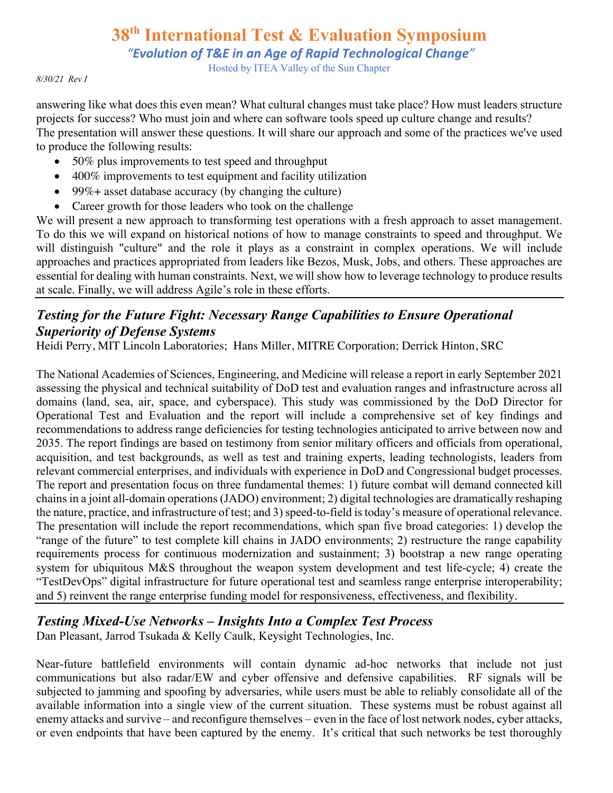*"Evolution of T&E in an Age of Rapid Technological Change"*

Hosted by ITEA Valley of the Sun Chapter

#### *8/30/21 Rev I*

answering like what does this even mean? What cultural changes must take place? How must leaders structure projects for success? Who must join and where can software tools speed up culture change and results? The presentation will answer these questions. It will share our approach and some of the practices we've used to produce the following results:

- 50% plus improvements to test speed and throughput
- 400% improvements to test equipment and facility utilization
- 99%+ asset database accuracy (by changing the culture)
- Career growth for those leaders who took on the challenge

We will present a new approach to transforming test operations with a fresh approach to asset management. To do this we will expand on historical notions of how to manage constraints to speed and throughput. We will distinguish "culture" and the role it plays as a constraint in complex operations. We will include approaches and practices appropriated from leaders like Bezos, Musk, Jobs, and others. These approaches are essential for dealing with human constraints. Next, we will show how to leverage technology to produce results at scale. Finally, we will address Agile's role in these efforts.

### *Testing for the Future Fight: Necessary Range Capabilities to Ensure Operational Superiority of Defense Systems*

Heidi Perry, MIT Lincoln Laboratories; Hans Miller, MITRE Corporation; Derrick Hinton, SRC

The National Academies of Sciences, Engineering, and Medicine will release a report in early September 2021 assessing the physical and technical suitability of DoD test and evaluation ranges and infrastructure across all domains (land, sea, air, space, and cyberspace). This study was commissioned by the DoD Director for Operational Test and Evaluation and the report will include a comprehensive set of key findings and recommendations to address range deficiencies for testing technologies anticipated to arrive between now and 2035. The report findings are based on testimony from senior military officers and officials from operational, acquisition, and test backgrounds, as well as test and training experts, leading technologists, leaders from relevant commercial enterprises, and individuals with experience in DoD and Congressional budget processes. The report and presentation focus on three fundamental themes: 1) future combat will demand connected kill chains in a joint all-domain operations (JADO) environment; 2) digital technologies are dramatically reshaping the nature, practice, and infrastructure of test; and 3) speed-to-field is today's measure of operational relevance. The presentation will include the report recommendations, which span five broad categories: 1) develop the "range of the future" to test complete kill chains in JADO environments; 2) restructure the range capability requirements process for continuous modernization and sustainment; 3) bootstrap a new range operating system for ubiquitous M&S throughout the weapon system development and test life-cycle; 4) create the "TestDevOps" digital infrastructure for future operational test and seamless range enterprise interoperability; and 5) reinvent the range enterprise funding model for responsiveness, effectiveness, and flexibility.

### *Testing Mixed-Use Networks – Insights Into a Complex Test Process*

Dan Pleasant, Jarrod Tsukada & Kelly Caulk, Keysight Technologies, Inc.

Near-future battlefield environments will contain dynamic ad-hoc networks that include not just communications but also radar/EW and cyber offensive and defensive capabilities. RF signals will be subjected to jamming and spoofing by adversaries, while users must be able to reliably consolidate all of the available information into a single view of the current situation. These systems must be robust against all enemy attacks and survive – and reconfigure themselves – even in the face of lost network nodes, cyber attacks, or even endpoints that have been captured by the enemy. It's critical that such networks be test thoroughly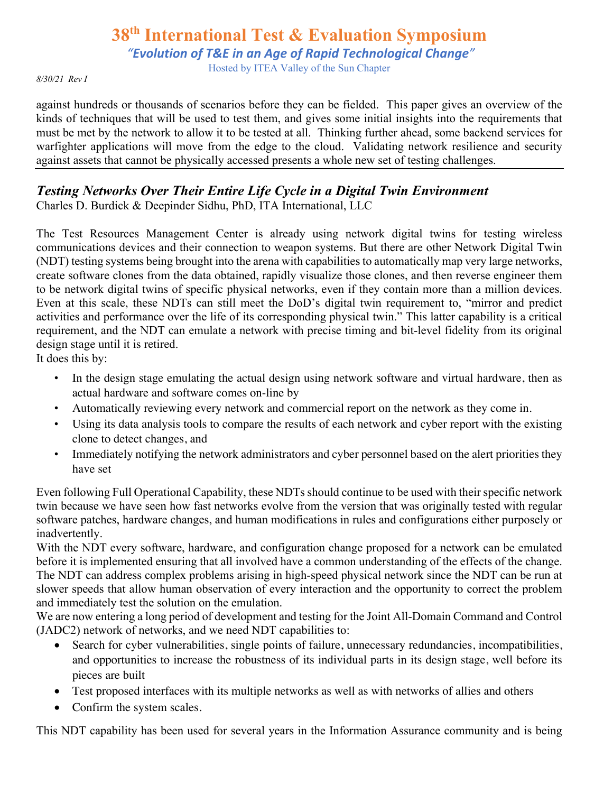*"Evolution of T&E in an Age of Rapid Technological Change"*

Hosted by ITEA Valley of the Sun Chapter

*8/30/21 Rev I*

against hundreds or thousands of scenarios before they can be fielded. This paper gives an overview of the kinds of techniques that will be used to test them, and gives some initial insights into the requirements that must be met by the network to allow it to be tested at all. Thinking further ahead, some backend services for warfighter applications will move from the edge to the cloud. Validating network resilience and security against assets that cannot be physically accessed presents a whole new set of testing challenges.

# *Testing Networks Over Their Entire Life Cycle in a Digital Twin Environment*

Charles D. Burdick & Deepinder Sidhu, PhD, ITA International, LLC

The Test Resources Management Center is already using network digital twins for testing wireless communications devices and their connection to weapon systems. But there are other Network Digital Twin (NDT) testing systems being brought into the arena with capabilities to automatically map very large networks, create software clones from the data obtained, rapidly visualize those clones, and then reverse engineer them to be network digital twins of specific physical networks, even if they contain more than a million devices. Even at this scale, these NDTs can still meet the DoD's digital twin requirement to, "mirror and predict activities and performance over the life of its corresponding physical twin." This latter capability is a critical requirement, and the NDT can emulate a network with precise timing and bit-level fidelity from its original design stage until it is retired.

It does this by:

- In the design stage emulating the actual design using network software and virtual hardware, then as actual hardware and software comes on-line by
- Automatically reviewing every network and commercial report on the network as they come in.
- Using its data analysis tools to compare the results of each network and cyber report with the existing clone to detect changes, and
- Immediately notifying the network administrators and cyber personnel based on the alert priorities they have set

Even following Full Operational Capability, these NDTs should continue to be used with their specific network twin because we have seen how fast networks evolve from the version that was originally tested with regular software patches, hardware changes, and human modifications in rules and configurations either purposely or inadvertently.

With the NDT every software, hardware, and configuration change proposed for a network can be emulated before it is implemented ensuring that all involved have a common understanding of the effects of the change. The NDT can address complex problems arising in high-speed physical network since the NDT can be run at slower speeds that allow human observation of every interaction and the opportunity to correct the problem and immediately test the solution on the emulation.

We are now entering a long period of development and testing for the Joint All-Domain Command and Control (JADC2) network of networks, and we need NDT capabilities to:

- Search for cyber vulnerabilities, single points of failure, unnecessary redundancies, incompatibilities, and opportunities to increase the robustness of its individual parts in its design stage, well before its pieces are built
- Test proposed interfaces with its multiple networks as well as with networks of allies and others
- Confirm the system scales.

This NDT capability has been used for several years in the Information Assurance community and is being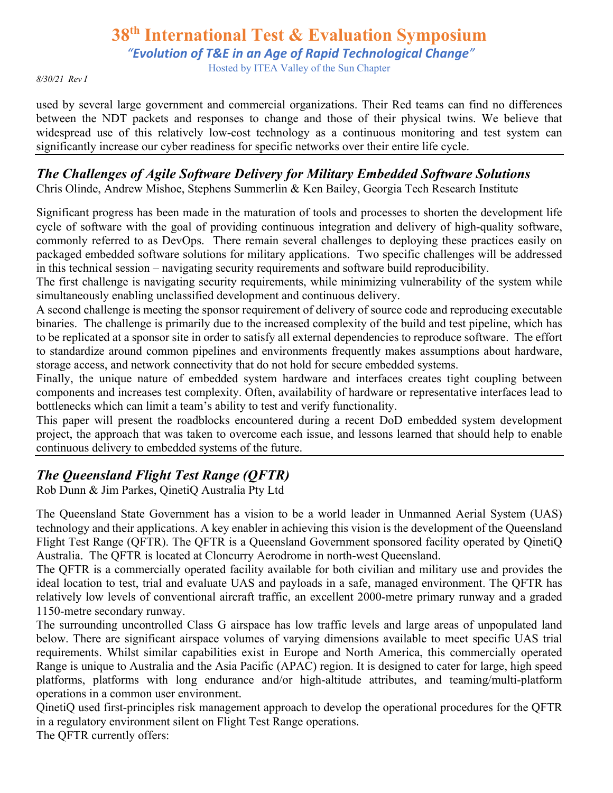*"Evolution of T&E in an Age of Rapid Technological Change"*

Hosted by ITEA Valley of the Sun Chapter

#### *8/30/21 Rev I*

used by several large government and commercial organizations. Their Red teams can find no differences between the NDT packets and responses to change and those of their physical twins. We believe that widespread use of this relatively low-cost technology as a continuous monitoring and test system can significantly increase our cyber readiness for specific networks over their entire life cycle.

# *The Challenges of Agile Software Delivery for Military Embedded Software Solutions*

Chris Olinde, Andrew Mishoe, Stephens Summerlin & Ken Bailey, Georgia Tech Research Institute

Significant progress has been made in the maturation of tools and processes to shorten the development life cycle of software with the goal of providing continuous integration and delivery of high-quality software, commonly referred to as DevOps. There remain several challenges to deploying these practices easily on packaged embedded software solutions for military applications. Two specific challenges will be addressed in this technical session – navigating security requirements and software build reproducibility.

The first challenge is navigating security requirements, while minimizing vulnerability of the system while simultaneously enabling unclassified development and continuous delivery.

A second challenge is meeting the sponsor requirement of delivery of source code and reproducing executable binaries. The challenge is primarily due to the increased complexity of the build and test pipeline, which has to be replicated at a sponsor site in order to satisfy all external dependencies to reproduce software. The effort to standardize around common pipelines and environments frequently makes assumptions about hardware, storage access, and network connectivity that do not hold for secure embedded systems.

Finally, the unique nature of embedded system hardware and interfaces creates tight coupling between components and increases test complexity. Often, availability of hardware or representative interfaces lead to bottlenecks which can limit a team's ability to test and verify functionality.

This paper will present the roadblocks encountered during a recent DoD embedded system development project, the approach that was taken to overcome each issue, and lessons learned that should help to enable continuous delivery to embedded systems of the future.

### *The Queensland Flight Test Range (QFTR)*

Rob Dunn & Jim Parkes, QinetiQ Australia Pty Ltd

The Queensland State Government has a vision to be a world leader in Unmanned Aerial System (UAS) technology and their applications. A key enabler in achieving this vision is the development of the Queensland Flight Test Range (QFTR). The QFTR is a Queensland Government sponsored facility operated by QinetiQ Australia. The QFTR is located at Cloncurry Aerodrome in north-west Queensland.

The QFTR is a commercially operated facility available for both civilian and military use and provides the ideal location to test, trial and evaluate UAS and payloads in a safe, managed environment. The QFTR has relatively low levels of conventional aircraft traffic, an excellent 2000-metre primary runway and a graded 1150-metre secondary runway.

The surrounding uncontrolled Class G airspace has low traffic levels and large areas of unpopulated land below. There are significant airspace volumes of varying dimensions available to meet specific UAS trial requirements. Whilst similar capabilities exist in Europe and North America, this commercially operated Range is unique to Australia and the Asia Pacific (APAC) region. It is designed to cater for large, high speed platforms, platforms with long endurance and/or high-altitude attributes, and teaming/multi-platform operations in a common user environment.

QinetiQ used first-principles risk management approach to develop the operational procedures for the QFTR in a regulatory environment silent on Flight Test Range operations.

The QFTR currently offers: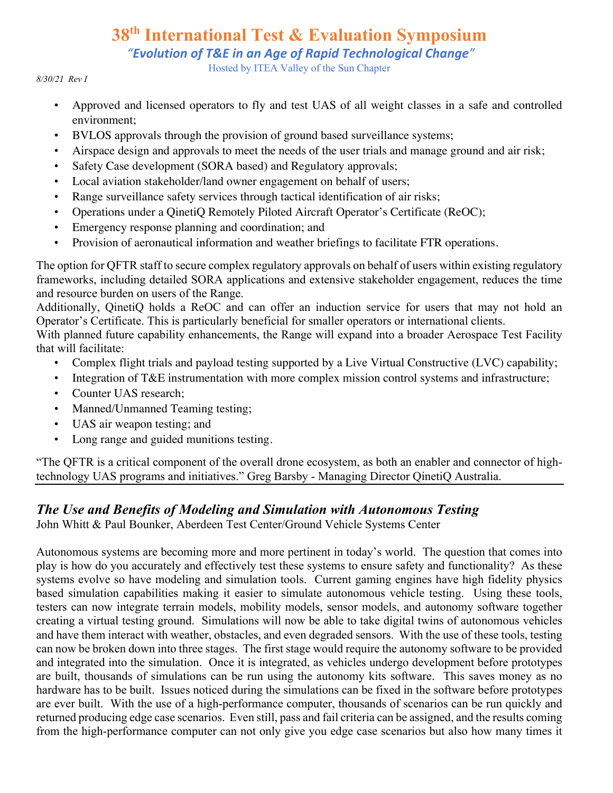*"Evolution of T&E in an Age of Rapid Technological Change"*

Hosted by ITEA Valley of the Sun Chapter

#### *8/30/21 Rev I*

- Approved and licensed operators to fly and test UAS of all weight classes in a safe and controlled environment;
- BVLOS approvals through the provision of ground based surveillance systems;
- Airspace design and approvals to meet the needs of the user trials and manage ground and air risk;
- Safety Case development (SORA based) and Regulatory approvals;
- Local aviation stakeholder/land owner engagement on behalf of users;
- Range surveillance safety services through tactical identification of air risks;
- Operations under a QinetiQ Remotely Piloted Aircraft Operator's Certificate (ReOC);
- Emergency response planning and coordination; and
- Provision of aeronautical information and weather briefings to facilitate FTR operations.

The option for QFTR staff to secure complex regulatory approvals on behalf of users within existing regulatory frameworks, including detailed SORA applications and extensive stakeholder engagement, reduces the time and resource burden on users of the Range.

Additionally, QinetiQ holds a ReOC and can offer an induction service for users that may not hold an Operator's Certificate. This is particularly beneficial for smaller operators or international clients.

With planned future capability enhancements, the Range will expand into a broader Aerospace Test Facility that will facilitate:

- Complex flight trials and payload testing supported by a Live Virtual Constructive (LVC) capability;
- Integration of T&E instrumentation with more complex mission control systems and infrastructure;
- Counter UAS research;
- Manned/Unmanned Teaming testing;
- UAS air weapon testing; and
- Long range and guided munitions testing.

"The QFTR is a critical component of the overall drone ecosystem, as both an enabler and connector of hightechnology UAS programs and initiatives." Greg Barsby - Managing Director QinetiQ Australia.

### *The Use and Benefits of Modeling and Simulation with Autonomous Testing*

John Whitt & Paul Bounker, Aberdeen Test Center/Ground Vehicle Systems Center

Autonomous systems are becoming more and more pertinent in today's world. The question that comes into play is how do you accurately and effectively test these systems to ensure safety and functionality? As these systems evolve so have modeling and simulation tools. Current gaming engines have high fidelity physics based simulation capabilities making it easier to simulate autonomous vehicle testing. Using these tools, testers can now integrate terrain models, mobility models, sensor models, and autonomy software together creating a virtual testing ground. Simulations will now be able to take digital twins of autonomous vehicles and have them interact with weather, obstacles, and even degraded sensors. With the use of these tools, testing can now be broken down into three stages. The first stage would require the autonomy software to be provided and integrated into the simulation. Once it is integrated, as vehicles undergo development before prototypes are built, thousands of simulations can be run using the autonomy kits software. This saves money as no hardware has to be built. Issues noticed during the simulations can be fixed in the software before prototypes are ever built. With the use of a high-performance computer, thousands of scenarios can be run quickly and returned producing edge case scenarios. Even still, pass and fail criteria can be assigned, and the results coming from the high-performance computer can not only give you edge case scenarios but also how many times it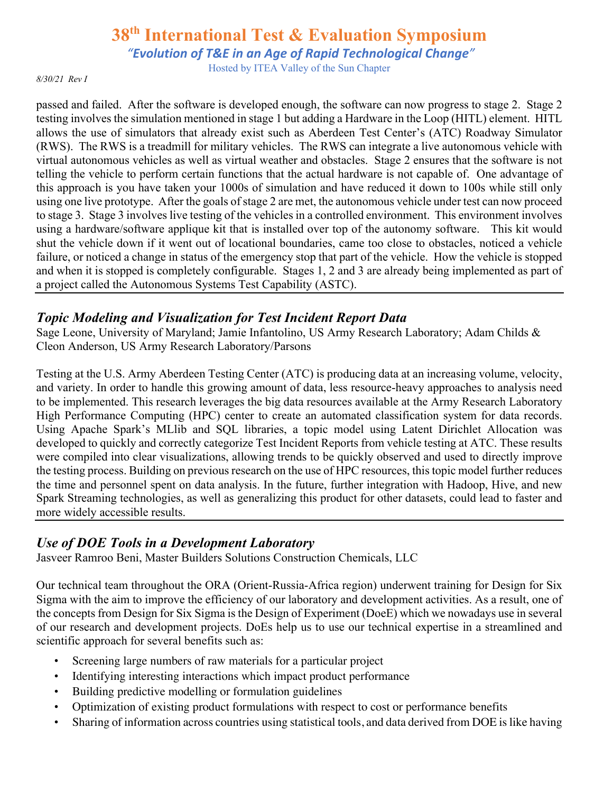*"Evolution of T&E in an Age of Rapid Technological Change"*

Hosted by ITEA Valley of the Sun Chapter

*8/30/21 Rev I*

passed and failed. After the software is developed enough, the software can now progress to stage 2. Stage 2 testing involves the simulation mentioned in stage 1 but adding a Hardware in the Loop (HITL) element. HITL allows the use of simulators that already exist such as Aberdeen Test Center's (ATC) Roadway Simulator (RWS). The RWS is a treadmill for military vehicles. The RWS can integrate a live autonomous vehicle with virtual autonomous vehicles as well as virtual weather and obstacles. Stage 2 ensures that the software is not telling the vehicle to perform certain functions that the actual hardware is not capable of. One advantage of this approach is you have taken your 1000s of simulation and have reduced it down to 100s while still only using one live prototype. After the goals of stage 2 are met, the autonomous vehicle under test can now proceed to stage 3. Stage 3 involves live testing of the vehicles in a controlled environment. This environment involves using a hardware/software applique kit that is installed over top of the autonomy software. This kit would shut the vehicle down if it went out of locational boundaries, came too close to obstacles, noticed a vehicle failure, or noticed a change in status of the emergency stop that part of the vehicle. How the vehicle is stopped and when it is stopped is completely configurable. Stages 1, 2 and 3 are already being implemented as part of a project called the Autonomous Systems Test Capability (ASTC).

#### *Topic Modeling and Visualization for Test Incident Report Data*

Sage Leone, University of Maryland; Jamie Infantolino, US Army Research Laboratory; Adam Childs & Cleon Anderson, US Army Research Laboratory/Parsons

Testing at the U.S. Army Aberdeen Testing Center (ATC) is producing data at an increasing volume, velocity, and variety. In order to handle this growing amount of data, less resource-heavy approaches to analysis need to be implemented. This research leverages the big data resources available at the Army Research Laboratory High Performance Computing (HPC) center to create an automated classification system for data records. Using Apache Spark's MLlib and SQL libraries, a topic model using Latent Dirichlet Allocation was developed to quickly and correctly categorize Test Incident Reports from vehicle testing at ATC. These results were compiled into clear visualizations, allowing trends to be quickly observed and used to directly improve the testing process. Building on previous research on the use of HPC resources, this topic model further reduces the time and personnel spent on data analysis. In the future, further integration with Hadoop, Hive, and new Spark Streaming technologies, as well as generalizing this product for other datasets, could lead to faster and more widely accessible results.

#### *Use of DOE Tools in a Development Laboratory*

Jasveer Ramroo Beni, Master Builders Solutions Construction Chemicals, LLC

Our technical team throughout the ORA (Orient-Russia-Africa region) underwent training for Design for Six Sigma with the aim to improve the efficiency of our laboratory and development activities. As a result, one of the concepts from Design for Six Sigma is the Design of Experiment (DoeE) which we nowadays use in several of our research and development projects. DoEs help us to use our technical expertise in a streamlined and scientific approach for several benefits such as:

- Screening large numbers of raw materials for a particular project
- Identifying interesting interactions which impact product performance
- Building predictive modelling or formulation guidelines
- Optimization of existing product formulations with respect to cost or performance benefits
- Sharing of information across countries using statistical tools, and data derived from DOE is like having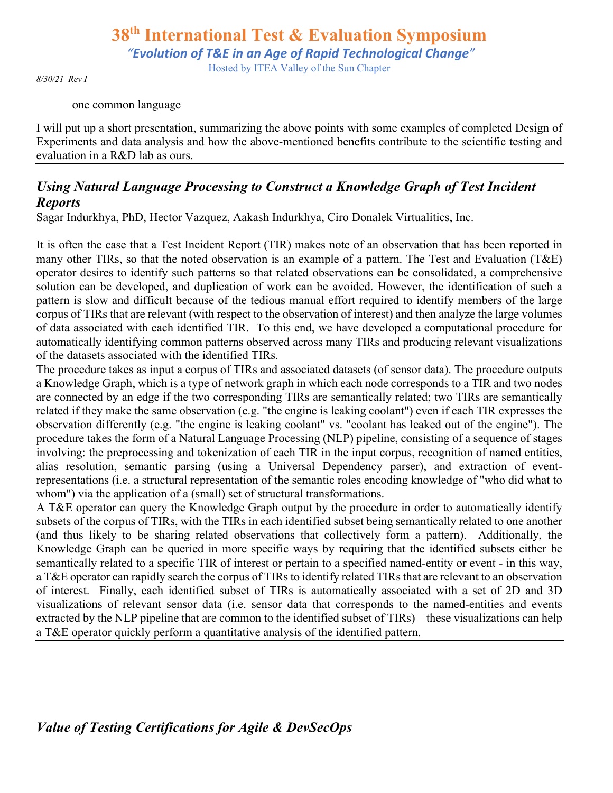Hosted by ITEA Valley of the Sun Chapter

*8/30/21 Rev I*

one common language

I will put up a short presentation, summarizing the above points with some examples of completed Design of Experiments and data analysis and how the above-mentioned benefits contribute to the scientific testing and evaluation in a R&D lab as ours.

### *Using Natural Language Processing to Construct a Knowledge Graph of Test Incident Reports*

Sagar Indurkhya, PhD, Hector Vazquez, Aakash Indurkhya, Ciro Donalek Virtualitics, Inc.

It is often the case that a Test Incident Report (TIR) makes note of an observation that has been reported in many other TIRs, so that the noted observation is an example of a pattern. The Test and Evaluation (T&E) operator desires to identify such patterns so that related observations can be consolidated, a comprehensive solution can be developed, and duplication of work can be avoided. However, the identification of such a pattern is slow and difficult because of the tedious manual effort required to identify members of the large corpus of TIRs that are relevant (with respect to the observation of interest) and then analyze the large volumes of data associated with each identified TIR. To this end, we have developed a computational procedure for automatically identifying common patterns observed across many TIRs and producing relevant visualizations of the datasets associated with the identified TIRs.

The procedure takes as input a corpus of TIRs and associated datasets (of sensor data). The procedure outputs a Knowledge Graph, which is a type of network graph in which each node corresponds to a TIR and two nodes are connected by an edge if the two corresponding TIRs are semantically related; two TIRs are semantically related if they make the same observation (e.g. "the engine is leaking coolant") even if each TIR expresses the observation differently (e.g. "the engine is leaking coolant" vs. "coolant has leaked out of the engine"). The procedure takes the form of a Natural Language Processing (NLP) pipeline, consisting of a sequence of stages involving: the preprocessing and tokenization of each TIR in the input corpus, recognition of named entities, alias resolution, semantic parsing (using a Universal Dependency parser), and extraction of eventrepresentations (i.e. a structural representation of the semantic roles encoding knowledge of "who did what to whom") via the application of a (small) set of structural transformations.

A T&E operator can query the Knowledge Graph output by the procedure in order to automatically identify subsets of the corpus of TIRs, with the TIRs in each identified subset being semantically related to one another (and thus likely to be sharing related observations that collectively form a pattern). Additionally, the Knowledge Graph can be queried in more specific ways by requiring that the identified subsets either be semantically related to a specific TIR of interest or pertain to a specified named-entity or event - in this way, a T&E operator can rapidly search the corpus of TIRs to identify related TIRs that are relevant to an observation of interest. Finally, each identified subset of TIRs is automatically associated with a set of 2D and 3D visualizations of relevant sensor data (i.e. sensor data that corresponds to the named-entities and events extracted by the NLP pipeline that are common to the identified subset of TIRs) – these visualizations can help a T&E operator quickly perform a quantitative analysis of the identified pattern.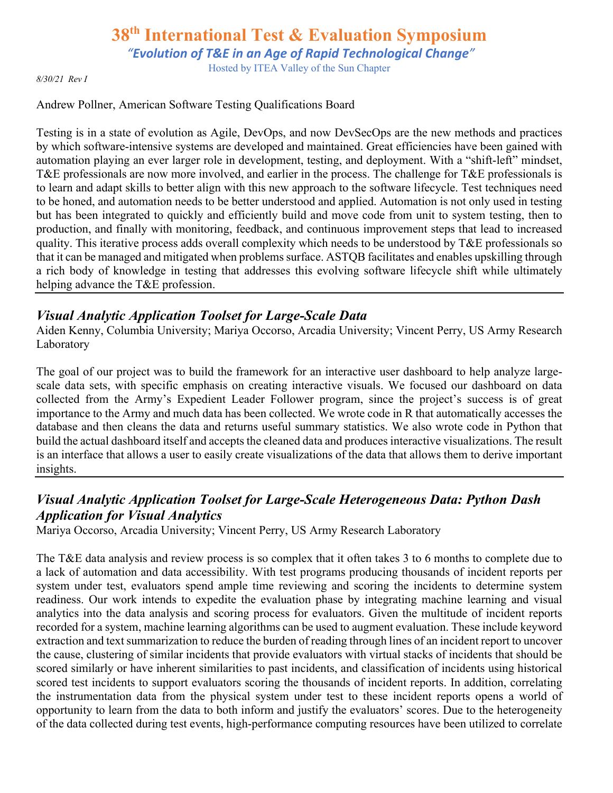*"Evolution of T&E in an Age of Rapid Technological Change"*

Hosted by ITEA Valley of the Sun Chapter

*8/30/21 Rev I*

#### Andrew Pollner, American Software Testing Qualifications Board

Testing is in a state of evolution as Agile, DevOps, and now DevSecOps are the new methods and practices by which software-intensive systems are developed and maintained. Great efficiencies have been gained with automation playing an ever larger role in development, testing, and deployment. With a "shift-left" mindset, T&E professionals are now more involved, and earlier in the process. The challenge for T&E professionals is to learn and adapt skills to better align with this new approach to the software lifecycle. Test techniques need to be honed, and automation needs to be better understood and applied. Automation is not only used in testing but has been integrated to quickly and efficiently build and move code from unit to system testing, then to production, and finally with monitoring, feedback, and continuous improvement steps that lead to increased quality. This iterative process adds overall complexity which needs to be understood by T&E professionals so that it can be managed and mitigated when problems surface. ASTQB facilitates and enables upskilling through a rich body of knowledge in testing that addresses this evolving software lifecycle shift while ultimately helping advance the T&E profession.

#### *Visual Analytic Application Toolset for Large-Scale Data*

Aiden Kenny, Columbia University; Mariya Occorso, Arcadia University; Vincent Perry, US Army Research Laboratory

The goal of our project was to build the framework for an interactive user dashboard to help analyze largescale data sets, with specific emphasis on creating interactive visuals. We focused our dashboard on data collected from the Army's Expedient Leader Follower program, since the project's success is of great importance to the Army and much data has been collected. We wrote code in R that automatically accesses the database and then cleans the data and returns useful summary statistics. We also wrote code in Python that build the actual dashboard itself and accepts the cleaned data and produces interactive visualizations. The result is an interface that allows a user to easily create visualizations of the data that allows them to derive important insights.

### *Visual Analytic Application Toolset for Large-Scale Heterogeneous Data: Python Dash Application for Visual Analytics*

Mariya Occorso, Arcadia University; Vincent Perry, US Army Research Laboratory

The T&E data analysis and review process is so complex that it often takes 3 to 6 months to complete due to a lack of automation and data accessibility. With test programs producing thousands of incident reports per system under test, evaluators spend ample time reviewing and scoring the incidents to determine system readiness. Our work intends to expedite the evaluation phase by integrating machine learning and visual analytics into the data analysis and scoring process for evaluators. Given the multitude of incident reports recorded for a system, machine learning algorithms can be used to augment evaluation. These include keyword extraction and text summarization to reduce the burden of reading through lines of an incident report to uncover the cause, clustering of similar incidents that provide evaluators with virtual stacks of incidents that should be scored similarly or have inherent similarities to past incidents, and classification of incidents using historical scored test incidents to support evaluators scoring the thousands of incident reports. In addition, correlating the instrumentation data from the physical system under test to these incident reports opens a world of opportunity to learn from the data to both inform and justify the evaluators' scores. Due to the heterogeneity of the data collected during test events, high-performance computing resources have been utilized to correlate